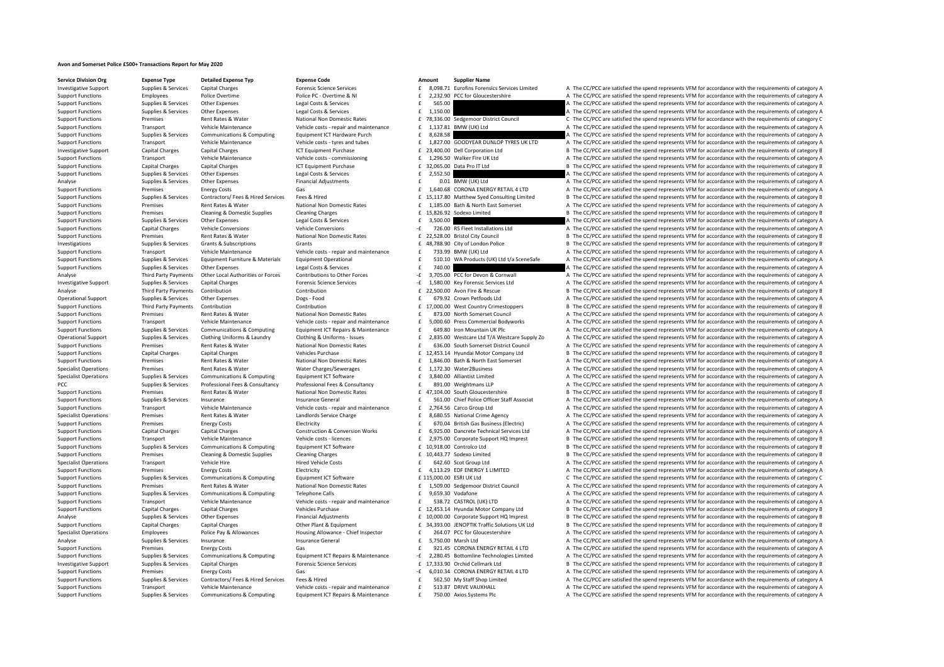## **Avon and Somerset Police £500+ Transactions Report for May 2020**

**Service Division Org Expense Type Detailed Expense Typ Expense Code Amount Supplier Name**

 ${\rm (mort) 1}$   ${\rm (mort) 2}$   ${\rm (mort) 2}$   ${\rm (mort) 3}$   ${\rm (moltz) 4}$   ${\rm (moltz) 5}$   ${\rm (moltz) 6}$   ${\rm (moltz) 6}$   ${\rm (moltz) 6}$   ${\rm (moltz) 7}$   ${\rm (moltz) 7}$   ${\rm (moltz) 8}$   ${\rm (moltz) 8}$   ${\rm (moltz) 8}$   ${\rm (moltz) 8}$   ${\rm (moltz) 8}$   ${\rm (moltz) 8}$   ${\rm (m$ Support Functions Functions Police Police Police Police Police Police Police Police Presents A The CC/PCC are satisfied the spend represents VFM for accordance with the requirements of category A Support Functions Supplies & Services Other Expenses Legal Costs & Services Legal Costs & Services 565.00 **Expenses 565.00** A The CC/PCC are satisfied the spend represents VFM for accordance with the requirements of catego Support Functions Supplies & Services Other Expenses Legal Costs & Services Legal Costs & Services 20136.00 E 1,150.00 Legal Costs Are a controll and the CC/PCC are satisfied the spend represents VFM for Support Functions Premises Rent Rates & Water National Non Domestic Rates **E** 78,336.00 Sedgemoor District Council C The CC/PCC are satisfied the spend represents VFM for accordance with the requirements of category C Vehi Support Functions Transport Vehicle Maintenance Vehicle costs – repair and maintenance 1,137.81 BMW (UK) Ltd A The CC/PCC are satisfied the spend represents VFM for accordance with the requirements of category A The CC/PCC Support Functions Supplies & Services Communications & Computing Equipment ICT Hardware Purch exacts and the SC28.58 computer a The CC/PCC are satisfied the spend represents VFM for accordance with the requirements of cate Support Functions Transport Vehicle Maintenance Vehicle costs - tyres and tubes E 1,827.00 GOODYEAR DUNLOP TYRES UK LTD A The CC/PCC are satisfied the spend represents VFM for accordance with the requirements of category A Investigative Support Capital Charges Capital Charges ICT Equipment Purchase 23,400.0 Dell Corporation Ltd B The CC/PCC are satisfied the spend represents VEM for accordance with the requirements of category B Support Functions Transport Vehicle Maintenance Vehicle costs commissioning 1,296.50 Walker Fire UK Ltd A The CC/PCC are satisfied the spend represents VFM for accordance with the requirements of category A The Criter A Th Support Functions Capital Charges Capital Charges ICT Equipment Purchase  $f = 32.065.00$  Data Pro IT Itd B The CC/PCC are satisfied the spend represents VEM for accordance with the requirements of category B Support Functions Supplies & Services Other Expenses Legal Costs & Services 2,552.50 **2,552.50** A The CC/PCC are satisfied the spend represents VFM for accordance with the requirements of category A Analyse Supplies & Services Other Expenses Financial Adjustments Financial Adjustments and A The CC/PCC are satisfied the spend represents VFM for accordance with the requirements of category A Support Functions Premises Energy Costs Gas Gas and Costs Gas Energy Costs Gas 1,640.68 CORONA ENERGY RETAIL 4 LTD A The CC/PCC are satisfied the spend represents VFM for accordance with the requirements of category A Support Functions Supplies & Services Contractors/Fees & Hired Services Fees & Hired Fees Fees & Hired Services Fees & Hired Services Fees & Hired Fees and Feesting Limited B The CC/PCC are satisfied the spend represents V Support Functions Premises Rent Rates & Water National Non Domestic Rates Function Rates and the Support Functions and the CC/PCC are satisfied the spend represents VFM for accordance with the requirements of category A Support Functions Premises Cleaning & Domestic Supplies Cleaning Charges Cleaning Charges 15,826.92 Sodexo Limited B The CC/PCC are satisfied the spend represents VFM for accordance with the requirements of category B The SUPPORT FUNCTIONS A Supplies OTHER CONTINUES A SUPPORT FUNCTIONS SUPPLIES OF A THE CONTINUES OF COSTS ASSERVEN<br>A The CONTINUES are satisfied the spend represents VFM for accordance with the requirements of category A Support Functions Capital Charges Vehicle Conversions Vehicle Conversions Vehicle Conversions Vehicle Conversions Vehicle Conversions Vehicle Conversions Vehicle Conversions Vehicle Conversions Vehicle Conversions Vehicle Support Functions Premises Rent Rates & Water National Non Domestic Rates **22,528.00 Bristol City Council** B The CC/PCC are satisfied the spend represents VFM for accordance with the requirements of category B Investigations Supplies & Services Grants & Subscriptions Grants Grants Grants Grants Grants Grants Grants Grants Grants Grants and the same of the same of the spend reduced and the spend represents VFM for accordance with Transport Vehicle Maintenance Vehicle costs - repair and maintenance F 733.99 BMW (UK) Ltd A The CC/PCC are satisfied the spend represents VFM for accordance with the requirements of category A Sunnort Eungripoint Sunnities & Sepulces Equipment Europhysics Equipment Operational Contact Care Care Care Care Care on A The CC/PCC are satisfied the spend represents VEM for accordance with the requirements of category Support Functions Supplies & Services Other Expenses Legal Costs & Services Legal Costs & Services **2000 E** 740.00 **EXP. The CC/PCC are satisfied the spend represents VFM for accordance with the requirements of category** Third Party Payments Other Local Authorities or Forces Contributions to Other Forces - 2,705.00 PCC for Devon & Convall Ante CC/PCC are satisfied the spend represents VFM for accordance with the requirements of category A A The CC/PCC are satisfied the spend represents VFM for accordance with the requirements of category A Analyse Third Party Payments Contribution 2001 Contribution Contribution 22,500.00 Avon Fire & Rescue B The CC/PCC are satisfied the spend represents VFM for accordance with the requirements of category B Operational Support Supplies & Services Other Expenses Dogs - Food 679.92 Crown Petfoods Ltd A The CC/PCC are satisfied the spend represents VFM for accordance with the requirements of category A Support Functions Third Party Payments Contribution Contribution Contribution Contribution Contribution Contribution<br>
Support Functions Premises Permises Rent Rates National Non-Domestic Rates and a secure of the CC/PCC ar E 873.00 North Somerset Council A The CC/PCC are satisfied the spend represents VFM for accordance with the requirements of category A Support Functions Transport Vehicle Maintenance Vehicle costs - repair and maintenance  $\pm$  5,000.60 Press Commercial Bodyworks A The CC/PCC are satisfied the spend represents VFM for accordance with the requirements of ca Supplies & Services Communications & Computing Foujoment ICT Repairs & Maintenance F 649.80 Iron Mountain UK Plc And The CC/PCC are satisfied the spend represents VEM for accordance with the requirements of category A Operational Support Supplies & Services Clothing Uniforms & Laundry Clothing & Uniforms - Issues E 2,835.00 Westcare Ltd T/A Westcare Supply Zo A The CC/PCC are satisfied the spend represents VFM for accordance with the re Sunnort Eunctions Premises Rent Rates & Water National Non Domestic Rates of G36.00 South Somercet District Council A The CC/PCC are satisfied the spend represents VEM for accordance with the requirements of category A Support Functions Capital Charges Capital Charges Capital Charges Vehicles Purchase 12,453.14 Hyundai Motor Company Ltd B The CC/PCC are satisfied the spend represents VFM for accordance with the requirements of category B Support Functions Premises Rent Rates Rent Rates National Non Domestic Rates 1,846.00 Bath & North East Somerset A The CC/PCC are satisfied the spend represents VFM for accordance with the requirements of category A The CC Specialist Operations Premises Rent Rates & Water Water Charges/Sewerages 1,172.30 Water2Business A The CC/PCC are satisfied the spend represents VFM for accordance with the requirements of category A The CC/PCC are satisf Supplies & Services Communications & Computing Equipment ICT Software and formal and face of the COPCC are satisfied the spend represents VFM for accordance with the requirements of category A E and the COPCC are satisfied PCC Supplies & Services Professional Fees & Consultancy Professional Fees & Consultancy Professional Fees & Consultancy Professional Fees & Consultancy Professional Fees & Consultancy Professional Fees & Consultancy and th Support Functions Premises Rent Rates & Water National Non Domestic Rates f 47,104.00 South Gloucestershire B The CC/PCC are satisfied the spend represents VFM for accordance with the requirements of category B Support Functions Supplies & Services Insurance Superal Insurance General 1992 and the Setuport Chief Police Officer Staff Associat A The CC/PCC are satisfied the spend represents VFM for accordance with the requirements o Support Functions Transport Vehicle Maintenance Vehicle costs – repair and maintenance 2,764.56 Carco Group Ltd A The CC/PCC are satisfied the spend represents VFM for accordance with the requirements of category A The CC/ Premises Rent Rates & Water Landlords Service Charge and the service Carge a service Charge 8,680.55 National Crime Agency A The CC/PCC are satisfied the spend represents VFM for accordance with the requirements of categor Support Functions Premises Energy Costs Electricity Electricity **E** 670.04 British Gas Business (Electric) A The CC/PCC are satisfied the spend represents VFM for accordance with the requirements of category A Support Functions Capital Charges Capital Charges Capital Charges Capital Charges Capital Charges Capital Charges Capital Charges Capital Charges Capital Charges Capital Charges Capital Charges Capital Charges Construction Support Functions Transport Vehicle Maintenance Vehicle costs licences 2,975.00 Corporate Support HQ Imprest B The CC/PCC are satisfied the spend represents VFM for accordance with the requirements of category B Support Functions Supplies & Services Communications & Computing Equipment ICT Software  $\pm 10,918.00$  Controlco Ltd B The CC/PCC are satisfied the spend represents VFM for accordance with the requirements of category B Support Functions Premises Cleaning & Domestic Supplies Cleaning Charges 10,443.77 Sodexo Limited B The CC/PCC are satisfied the spend represents VFM for accordance with the requirements of category B Specialist Operations Transport Vehicle Hire Hire Hired Vehicle Costs and Hired Vehicle Costs and Hired Vehicle Costs and Hired Vehicle Costs and the Support A The CC/PCC are satisfied the spend represents VFM for accordan Support Functions Premises Fuergy Costs Functions Electricity Features Electricity and the COSTS of the COPCC are satisfied the spend represents VFM for accordance with the requirements of category A Support Functions Supplies & Services Communications & Computing Equipment ICT Software  $E$  115,000.00 ESRI UK Ltd C The CC/PCC are satisfied the spend represents VFM for accordance with the requirements of category C Support Functions Premises Rent Rates & Water National Non Domestic Rates 1,509.00 Sedgemoor District Council A The CC/PCC are satisfied the spend represents VFM for accordance with the requirements of category A Support Functions Supplies & Services Communications & Computing Telephone Calls **E** 9,659.30 Vodafone A The CC/PCC are satisfied the spend represents VFM for accordance with the requirements of category A The Criteria and Support Functions Transport Vehicle Maintenance Vehicle costs - repair and maintenance f 538.72 CASTROL (UK) LTD A The CC/PCC are satisfied the spend represents VFM for accordance with the requirements of category A Support Functions Capital Charges Capital Charges Capital Charges Vehicles Purchase 12,453.14 Hyundai Motor Company Ltd B The CC/PCC are satisfied the spend represents VFM for accordance with the requirements of category B Analyse Supplies Services Other Expenses Financial Adjustments 10,000.00 Corporate Support HQ Imprest B The CC/PCC are satisfied the spend represents VFM for accordance with the requirements of category B Corporate Support Support Functions Capital Charges Capital Charges Capital Charges Other Plant & Foujument Capital Charges Capital Charges On the Plant & Foujument Capital Charges (Capital Charges Capital Charges Capital Charges Capital Ch Specialist Operations Employees Police Pay & Allowances Housing Allowance - Chief Inspector E 264.07 PCC for Gloucestershire A The CC/PCC are satisfied the spend represents VFM for accordance with the requirements of categ Analyse Supplies Services Insurance Supprements of category A Insurance General Supprements of category and the Service Insurance Category A The CC/PCC are satisfied the spend represents VFM for accordance with the require Energy Costs Gas Gas Gas Functions Casegory A Content Functions Category A Content CT Repairs & Maintenance Functions Content CT Repairs & Maintenance - F 2.280.45 Bottomline Technologies Limited A The CC/PCC are satisfied Supplies & Services Communications & Computing Foujoment ICT Repairs & Maintenance - f 2.280.45 Bottomline Technologies Limited A The CC/PCC are satisfied the spend represents VFM for accordance with the requirements of ca Investigative Support Supplies & Services Capital Charges Capital Charges Forensic Science Services 17,333.90 Orchid Cellmark Ltd B The CC/PCC are satisfied the spend represents VFM for accordance with the requirements of A The CC/PCC are satisfied the spend represents VFM for accordance with the requirements of category A Supplies & Services Contractors/ Fees & Hired Services Fees & Hired Services Fees & Hired Services Fees & Hired Fees & Hired Fees & Hired Fees & Hired Fees & Hired Fees & Hired Fees & Hired Fees & Hired Fees & Hired Fees & Support Functions Transport Vehicle Maintenance Vehicle costs - repair and maintenance F 513.87 DRIVE VAUXHALL A The CC/PCC are satisfied the spend represents VFM for accordance with the requirements of category A Support Functions Supplies & Services Communications & Computing Equipment ICT Repairs & Maintenance 1 750.00 Axios Systems Plc 750.00 Axios Systems Plc 750.00 Axios Systems Plc 750.00 Axios Systems Plc 7 The CC/PCC are sa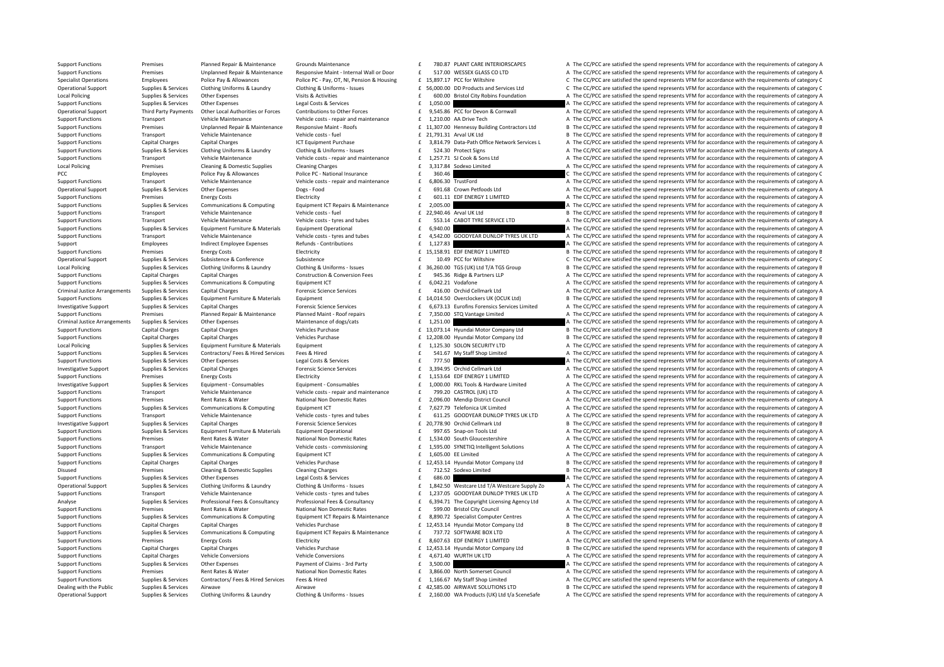Support Functions Premises Planned Repair & Maintenance Grounds Maintenance **1998.97 PLANT CARE INTERIORSCAPES** A The CC/PCC are satisfied the spend represents VFM for accordance with the requirements of category A Support Functions Premises Unplanned Repair & Maintenance Responsive Maint - Internal Wall or Door E 517.00 WESSEX GLASS CO LTD A The CC/PCC are satisfied the spend represents VFM for accordance with the requirements of ca Specialist Operations Employees Police Pay & Allowances Police PC-Pay, OT, NI, Pension & Housing £ 15,897.17 PCC for Wiltshire C. The CC/PCC are satisfied the spend represents VFM for accordance with the requirements of ca Supplies & Services Clothing Uniforms & Laundry Clothing & Uniforms - Issues E 26,000.00 DD Products and Services Ltd C The CC/PCC are satisfied the spend represents VFM for accordance with the requirements of category C<br>S Local Policing Supplies Services Other Expenses Visits & Activities Visits Activities 600.00 Bristol City Robins Foundation A The CC/PCC are satisfied the spend represents VFM for accordance with the requirements of catego Support Functions Supplies & Services Other Expenses Legal Costs & Services Legal Costs & Services 1,050.00 E 1,050.00 A The CC/PCC are satisfied the spend represents VFM for accordance with the requirements of category A Operational Support Third Party Payments Other Local Authorities or Forces Contributions to Other Forces forces<br>Support Support Support Support Support Support Support Support Support Support Support Support Support Suppor Support Functions Transport Vehicle Maintenance Vehicle costs - repair and maintenance f 1,210.00 AA Drive Tech A The CC/PCC are satisfied the spend represents VFM for accordance with the requirements of category A Support Functions Premises Unplanned Repair & Maintenance Responsive Maint - Roofs E 11.307.00 Hennessy Building Contractors Ltd B The CC/PCC are satisfied the spend represents VFM for accordance with the requirements of c Support Transport Vehicle Maintenance Vehicle costs – fuel and the COST of the CC/PCC are satisfied the spend represents VFM for accordance with the requirements of category B Support Functions Capital Charges Capital Charges Capital Charges Capital Charges Capital Charges Capital Charges Capital Charges Capital Charges Capital Charges Capital Charges Capital Charges Capital Charges Capital Char Sunnort Eunctions Sunnitage Services Clothing Uniforms & Laundry Clothing & Liniforms - Issues Contained Studiors Clothing & Liniforms - Issues CONDITY CONTECT STATES CONTECTS CONTECTS A The CONTECT are satisfied the spend Support Eurotions Transport Vehicle Maintenance Vehicle Costs repair and maintenance Vehicle Costs repair and maintenance F 1,257.71 SLOok & Sons Ltd A The CC/PCC are satisfied the spend represents VEM for accordance with Local Policing Premises Cleaning & Domestic Supplies Cleaning Charges Cleaning Charges Cleaning Charges Cleaning Charges 2,317.84 Sodexo Limited A The CC/PCC are satisfied the spend represents VFM for accordance with the r PCC Employees Police Pay & Allowances Police PC - National Insurance and the SECOLOGIC Area and The CC/PCC are satisfied the spend represents VFM for accordance with the requirements of category C Support Functions Transport Vehicle Maintenance Vehicle costs - repair and maintenance F 6,806.30 TrustFord A The CC/PCC are satisfied the spend represents VFM for accordance with the requirements of category A Operational Support Supplies & Services Other Expenses Dogs - Food **691.68** Crown Petfoods Ltd A The CC/PCC are satisfied the spend represents VFM for accordance with the requirements of category A The Crown Petfoods Ltd A Support Functions Premises Fuergy Costs Functions Electricity Features Electricity Features and the CC/PCC are satisfied the spend represents VFM for accordance with the requirements of category A Support Functions Supplies & Services Communications & Computing Equipment ICT Repairs & Maintenance 2,005.00 **E 2,005.00** A The CC/PCC are satisfied the spend represents VFM for accordance with the requirements of categor Support Functions Transport Vehicle Maintenance Vehicle costs –fuel vehicle costs –fuel 22,940.46 Arval UK Ltd B The CC/PCC are satisfied the spend represents VFM for accordance with the requirements of category B Vehicle Transport Vehicle Maintenance Webicle costs - types and tubes of the C53.14 CABOT TYRE SERVICE LTD A The CC/PCC are satisfied the spend represents VEM for accordance with the requirements of category A Support Functions Supplies & Services Equipment Furniture & Materials Equipment Operational 6,940.00  $\epsilon$  6,940.00  $\epsilon$  6,940.00  $\epsilon$  are satisfied the spend represents VFM for accordance with the requirements of category Support Functions Transport Vehicle Maintenance Vehicle costs - tyres and tubes Function Capacity Christopher Maintenance Vehicle costs - tyres and tubes Function Maintenance Vehicle costs - tyres and tubes Function Capaci Support Employees Support Employees And Employee Expenses Refunds Contributions and Expenditions and Expenditions and The CC/PCC are satisfied the spend represents VFM for accordance with the requirements of category A Sup Premises Energy Costs Electricity Electricity Electricity Electricity Electricity Electricity 15,158.91 EDF ENERGY 1 LIMITED B The CC/PCC are satisfied the spend represents VFM for accordance with the requirements of categ Operational Support Supplies & Services Subsistence Subsistence Subsistence Subsistence Subsistence Subsistence Subsistence Subsistence Subsistence of the CC/PCC are satisfied the spend represents VFM for accordance with t Local Policing Control of Supplies & Services Clothing Uniforms & Laundry Clothing & Uniforms - Issues E 36.260.00 TGS (UK) Ltd T/A TGS Group B The CC/PCC are satisfied the spend represents VFM for accordance with the requ Support Functions Capital Charges Capital Charges Capital Charges Capital Charges Capital Charges Capital Charges Construction & Construction & Conversion Fees and represents LP a The CC/PCC are satisfied the spend represe Support Functions Supplies & Services Communications & Computing Equipment ICT £ Vodafone A The CC/PCC are satisfied the spend represents V 6,042.21 FM for accordance with the requirements of category A Criminal Justice Arrangements Supplies & Services Capital Charges Materia Entergrise Services Forensic Science Services Forensic Science Services F 416.00 Orchid Cellmark Ltd A The CC/PCC are satisfied the spend represents Supplies & Services Equipment Furniture & Materials Equipment Equipment Equipment Equipment Equipment Equipment Equipment Equipment Equipment Equipment Equipment Equipment Equipment Equipment Equipment Equipment Equipment Investigative Support Supplies & Services Capital Charges Capital Charges Porensic Science Services (Support Function of the CC/PCC are satisfied the spend represents VFM for accordance with the requirements of category A<br> A The CC/PCC are satisfied the spend represents VFM for accordance with the requirements of category A Criminal Justice Arrangements Supplies & Services Other Expenses Maintenance of dogs/cats and the 1,251.00 and a The CC/PCC are satisfied the spend represents VFM for accordance with the requirements of category A The CL/P Support Functions Capital Charges Capital Charges Vehicles Purchase 13,073.14 Hyundai Motor Company Ltd B The CC/PCC are satisfied the spend represents VFM for accordance with the requirements of category B Vehicles Purcha Support Functions Capital Charges Capital Charges Vehicles Purchase 12,208.00 Hyundai Motor Company Ltd B The CC/PCC are satisfied the spend represents VFM for accordance with the requirements of category B Local Policing Supplies & Services Equipment Furniture & Materials Equipment 1,125.30 SOLON SECURITY LTD A The CC/PCC are satisfied the spend represents VEM for accordance with the requirements of category A Support Functions Supplies & Services Contractors/Fees & Hired Services Fees & Hired Expansion of the CONCERT SALES MONAGER CONTRACT ON SUPPORT AT THE CONCERT A THE COPCC are satisfied the spend represents VFM for accordan Support Functions Supplies & Services Other Expenses Legal Costs & Services Legal Costs & Services Legal Costs & Services **E** 777.50 **E** 777.50 **A** The CC/PCC are satisfied the spend represents VFM for accordance with the Investigative Support Supplies & Services Capital Charges A The Companies Forensic Science Services and Support Support Support Support Support Support Support Support Support Support Support Support Support Support Suppor Support Functions Premises Energy Costs Energy Costs Electricity Electricity Electricity 1,153.64 EDF ENERGY 1 LIMITED A The CC/PCC are satisfied the spend represents VFM for accordance with the requirements of category A Equipment - Consument - Consumenter Consumentes of the CONCO. Equipment - Consument - Consument - Consument - Consument - Consument - Consument - Consument - Consument - Consument - Consument - Consument - The CC/PCC are s Support Functions Transport Vehicle Maintenance Vehicle costs - renair and maintenance F 799.20 CASTROL(UK) ITD A The CC/PCC are satisfied the spend represents VFM for accordance with the requirements of category A Support Functions Premises Rent Rates & Water National Non Domestic Rates **E** 2,096.00 Mendip District Council A The CC/PCC are satisfied the spend represents VFM for accordance with the requirements of category A Support Functions Supplies & Services Communications & Computing Equipment ICT Equipment ICT  $\tau$ , 627.79 Telefonica UK Limited A The CC/PCC are satisfied the spend represents VFM for accordance with the requirements of ca Vehicle Maintenance Vehicle costs - tyres and tubes Ferrantic CODIVEAR DUNLOP TYRES UK LTD A The CC/PCC are satisfied the spend represents VFM for accordance with the requirements of category A Investigative Support Supplies & Services Capital Charges **Forensic Science Services** 20,778.90 Orchid Cellmark Ltd B The CC/PCC are satisfied the spend represents VFM for accordance with the requirements of category B Supplies Supplies & Services Equipment Furniture & Materials Equipment Operational and the service of the CONCOLOGICAL CONCORDING A The CC/PCC are satisfied the spend represents VFM for accordance with the requirements of Support Functions Premises Rent Rates & Water National Non Domestic Rates 1,534.00 South Gloucestershire A The CC/PCC are satisfied the spend represents VFM for accordance with the requirements of category A Support Functions Transport Vehicle Maintenance Vehicle costs - commissioning Functions E 1,595.00 SYNETIQ Intelligent Solutions A The CC/PCC are satisfied the spend represents VFM for accordance with the requirements of c Support Functions Supplies & Services Communications & Computing Equipment ICT  $\pm 1,605.00 \text{ EE limited}$  A The CC/PCC are satisfied the spend represents VFM for accordance with the requirements of category A Support Functions Capital Charges Capital Charges Capital Charges Vehicles Purchase Vehicles Purchase 12,453.14 Hyundai Motor Company Ltd B The CC/PCC are satisfied the spend represents VFM for accordance with the requirem Disused Premises Cleaning & Domestic Supplies Cleaning Charges Cleaning Charges F 712.52 Sodexo Limited B The CC/PCC are satisfied the spend represents VFM for accordance with the requirements of category B Support Functions Supplies & Services Other Expenses Legal Costs & Services Legal Costs & Services 686.00 **E 306.00** A The CC/PCC are satisfied the spend represents VFM for accordance with the requirements of category A Operational Support Supplies & Services Clothing Uniforms & Laundry Clothing & Uniforms - Issues E 1,842.50 Westcare Ltd T/A Westcare Supply Zo A The CC/PCC are satisfied the spend represents VFM for accordance with the re Support Functions Transport Vehicle Maintenance Vehicle costs - tyres and tubes Function Camp and Transport Vehicle Maintenance Vehicle costs - tyres and tubes Function Camp and Transport Vehicle Maintenance Vehicle costs Supplies & Services Professional Fees & Consultancy Professional Fees & Consultancy Professional Fees & Consultancy Professional Fees & Consultancy entitled by the CONCLATE A The CONCLATE A The CONCLATE A The CONCLATE Serv Support Functions Premises Rent Rates & Water National Non Domestic Rates **E** 599.00 Bristol City Council A The CC/PCC are satisfied the spend represents VFM for accordance with the requirements of category A The CC/PCC ar Supplies Supplies & Services Communications & Computing Equipment ICT Repairs & Maintenance Maintenance E 8,890.72 Specialist Computer Centres A The CC/PCC are satisfied the spend represents VFM for accordance with the req Support Functions Capital Charges Capital Charges Vehicles Purchase 12,453.14 Hyundai Motor Company Itd B The CC/PCC are satisfied the spend represents VFM for accordance with the requirements of category B Support Functions Supplies & Services Communications & Computing Equipment ICT Repairs & Maintenance  $E$  737.72 SOFTWARE BOX LTD A The CC/PCC are satisfied the spend represents VFM for accordance with the requirements of c Support Functions Premises Energy Costs Electricity Electricity **E** 8,607.63 EDF ENERGY 1 LIMITED A The CC/PCC are satisfied the spend represents VFM for accordance with the requirements of category A Support Functions Capital Charges Capital Charges Capital Charges Murchase Vehicles Purchase 12,453.14 Hyundai Motor Company Ltd B The CC/PCC are satisfied the spend represents VFM for accordance with the requirements of c Support Functions Capital Charges Vehicle Conversions Vehicle Conversions Vehicle Conversions 4,671.40 WURTH UK LTD A The CC/PCC are satisfied the spend represents VFM for accordance with the requirements of category A Support Functions Supplies & Services Other Expenses Payment of Claims – 3rd Payment of Claims – 3rd Party and Expendition of Claims and Definition of A The CC/PCC are satisfied the spend represents VFM for accordance with Support Functions Premises Arenal Non Domestic Rates and A The CC/PCC are satisfied the spend represents VFM for accordance with the requirements of category A The CC/PCC are satisfied the spend represents VFM for accordan Supplies & Services Contractors/ Fees & Hired Services Fees & Hired Services Fees & Hired Services Fees & Hired Fees & Hired Fees & Hired Fees & Hired Fees & Hired Fees & Hired Fees & Hired Fees & Hired Fees & Hired Fees & Dealing with the Public Supplies & Services Airwave Airwave Airwave Airwave Airwave Airwave Airwave Airwave Airwave Airwave Airwave Airwave Airwave Airwave Airwave Airwave Airwave Airwave Airwave Airwave Airwave Airwave Ai Operational Support Supplies & Services Clothing Uniforms & Laundry Clothing & Uniforms - Issues E 2,160.00 WA Products (UK) Ltd t/a SceneSafe A The CC/PCC are satisfied the spend represents VFM for accordance with the req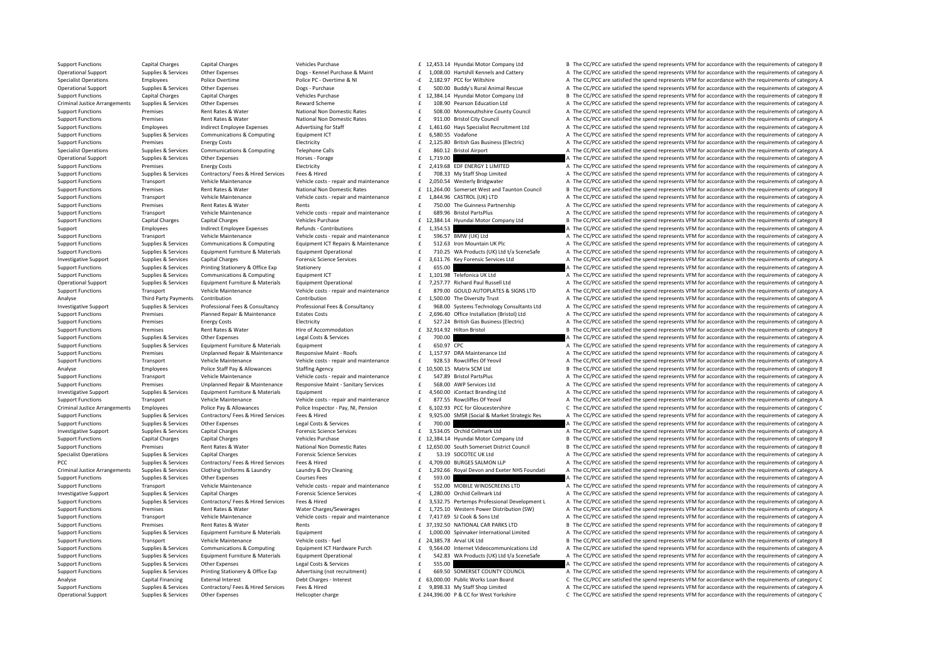Support Functions Capital Charges Capital Charges Vehicles Purchase 12,453.14 Hyundai Motor Company Ltd B The CC/PCC are satisfied the spend represents VFM for accordance with the requirements of category B Operational Support Supplies & Services Other Expenses Dogs-Kennel Purchase & Maint 1.008.00 Hartshill Kennels and Cattery A The CC/PCC are satisfied the spend represents VFM for accordance with the requirements of categor Specialist Operations Employees Police Overtime Police PC - Overtime & NI 2,182.97 PCC for Wiltshire A The CC/PCC are satisfied the spend represents VFM for accordance with the requirements of category A The CC/PCC are sat Operational Support Supplies & Services Other Expenses Dogs - Purchase Dogs and Dogs and Dogs and Dogs and Support Support A The CC/PCC are satisfied the spend represents VFM for accordance with the requirements of categor Capital Charges Capital Charges Capital Charges Capital Charges Capital Charges Vehicles Purchase 12,384.14 Hyundai Motor Company Ltd B The CC/PCC are satisfied the spend represents VFM for accordance with the requirements Criminal Justice Arrangements Supplies & Services Other Expenses Reward Scheme 108.90 Pearson Education Ltd A The CC/PCC are satisfied the spend represents VFM for accordance with the requirements of category A Support Functions Premises Rent Rates & Water National Non Domestic Rates E 508.00 Monmouthshire County Council A The CC/PCC are satisfied the spend represents VFM for accordance with the requirements of category A Support Functions Premises Rent Rates & Water National Non Domestic Rates f 911.00 Bristol City Council A The CC/PCC are satisfied the spend represents VFM for accordance with the requirements of category A Support Functions Employees Employees Indirect Employee Expenses Advertising for Staff and Adventising for Staff and Europe Expenses Adventising for Staff and Function Europe Expenses Adventising for Staff and Function Eur Support Functions Supplies & Services Communications & Computing For Form For Form of CT a terms of category A The CC/PCC are satisfied the spend represents VEM for accordance with the requirements of category A Support Functions Premises Energy Costs Electricity Electricity Electricity E 2,125.80 British Gas Business (Electric) A The CC/PCC are satisfied the spend represents VFM for accordance with the requirements of category A Specialist Operations Supplies & Services Communications & Computing Telephone Calls 860.12 **Examples 860.12 Result A The CC/PCC** are satisfied the spend represents VFM for accordance with the requirements of category A Operational Support Supplies & Services Other Expenses . Horses - Forage Horses - Forage 1,719.00 Expenditum and the CC/PCC are satisfied the spend represents VFM for accordance with the requirements of category A Support Support Functions Premises Premises Energy Costs Energy Costs Electricity Electricity **Electricity and ELECTRIC ART A THE CONSUMPTED** A The CC/PCC are satisfied the spend represents VFM for accordance with the requirements Support Functions Supplies & Services Contractors/ Fees & Hired Services Fees & Hired Fees & Hired Fees & Hired Fees & Hired Fees & Hired The CC/PCC are satisfied the spend represents VFM for accordance with the requiremen Support Eurostom Union Transport Wehicle Maintenance Wehicle costs - repair and maintenance Te 2,050.54 Westerly Bridgwater Although a The CC/PCC are satisfied the spend represents VFM for accordance with the requirements Support Functions Premises Rent Rates & Water National Non Domestic Rates E 11,264.00 Somerset West and Taunton Council B The CC/PCC are satisfied the spend represents VFM for accordance with the requirements of category B Support Functions Transport Vehicle Maintenance Vehicle costs - renair and maintenance f 1.844.96 CASTROL (UK) ITD A The CC/PCC are satisfied the spend represents VEM for accordance with the requirements of category A Support Functions Premises Rent Rates & Water Rents 750.0 £ The Guinness Partnership A The CC/PCC are satisfied the 0 spend represents VFM for accordance with the requirements of category A Support Eurotions Transport Wehicle Maintenance Wehicle costs - repair and maintenance  $\pm$  689.96 Bristol PartsPlus And The CC/PCC are satisfied the spend represents VFM for accordance with the requirements of category A<br> Bupport Functions Capital Charges Capital Charges Vehicles VEM for accordance with the requirements of category B The CC/PCC are satisfied the spend represents VFM for accordance with the requirements of category B Support Employees Indirect Employee Expenses Refunds Contributions E 1,354.53 ccordance and The CC/PCC are satisfied the spend represents VFM for accordance with the requirements of category A Support Functions Transport Vehicle Maintenance Vehicle costs ‐ repair and maintenance F 596.57 BMW (UK) Ltd A The CC/PCC are satisfied the spend represents VFM for accordance with the requirements of category A Support Functions Supplies & Services Communications & Computing Equipment ICT Repairs & Maintenance Leading and the S12.63 Iron Mountain UK PIc A The CC/PCC are satisfied the spend represents VFM for accordance with the r A The CC/PCC are satisfied the spend represents VFM for accordance with the requirements of category A Investigative Sunnort Sunnies & Services Canital Charges Canital Charges Forencic Science Services of 3,611.76 Key Forencic Services Itd A The CC/PCC are satisfied the spend represents VFM for accordance with the requireme Support Functions Supplies & Services Printing Stationery & Office Exp Stationery exacts and the stationery of the CC/PCC are satisfied the spend represents VFM for accordance with the requirements of category A Support Functions Supplies & Services Communications & Computing Equipment ICT Equipment ICT 201.98 Telefonica UK Ltd A The CC/PCC are satisfied the spend represents VFM for accordance with the requirements of category A T F 7,257.77 Richard Paul Russell Ltd A The CC/PCC are satisfied the spend represents VFM for accordance with the requirements of category A Support Eurotions Transport Vehicle Maintenance Vehicle costs - repair and maintenance F 879.00 GOULD AUTOPLATES & SIGNS LTD A The CC/PCC are satisfied the spend represents VFM for accordance with the requirements of categ Analyse Third Party Payments Contribution Contribution Contribution Contribution Contribution Contribution Contribution Contribution a contribution of the Secondance with the requirements of category A Investigative Support Supplies & Services Professional Fees & Consultancy Professional Fees & Consultancy Professional Fees & Consultancy and the Support of the CC/PCC are satisfied the spend represents VFM for accordance 2,696.40 Office Installation (Bristol) Ltd A The CC/PCC are satisfied the spend represents VFM for accordance with the requirements of category A Support Functions Premises Energy Costs Energy Costs Electricity Electricity Electricity Electricity and the spend of the S27.24 British Gas Business (Electricity A The CC/PCC are satisfied the spend represents VFM for acc Support Functions Premises Rent Rates & Water Hire of Accommodation Hire of 32,914.92 Hilton Bristol B The CC/PCC are satisfied the spend represents VFM for accordance with the requirements of category B Support Functions Supplies & Services Other Expenses Legal Costs & Services Legal Costs & Services Published the TOO.00 A The CC/PCC are satisfied the spend represents VFM for accordance with the requirements of category A Support Functions Supplies & Services Equipment Furniture & Materials Equipment 650.97 ESO 97 **EGO 97 CPC** A The CC/PCC are satisfied the spend represents VFM for accordance with the requirements of category A Support Functions Premises Unplanned Repair & Maintenance Responsive Maint - Roofs **1,157.97 DRA Maintenance Ltd** A The CC/PCC are satisfied the spend represents VFM for accordance with the requirements of category A The C Support Functions Transport Vehicle Maintenance Vehicle costs repair and maintenance Chicago and the Season of the COPC are satisfied the spend represents VEM for accordance with the requirements of category A Analyse Employees Police Staff Pay & Allowances Staffing Agency and maintenance 10,500.15 Matrix SCM Ltd B The CC/PCC are satisfied the spend represents VFM for accordance with the requirements of category B Vehicle Mainte Transport Vehicle Maintenance Vehicle costs - repair and maintenance and the state of the COPCC are satisfied the spend represents VFM for accordance with the requirements of category A<br>The CC/PCC are satisfied the spend r Premises Unplanned Repair & Maintenance Responsive Maint - Sanitary Services F 568.00 AWP Services Ltd and The CC/PCC are satisfied the spend represents VFM for accordance with the requirements of category A<br>Supplies & Sup Investigative Supplies & Services Supplies Research Furniture & Materials Foujoment Furniture & Materials Foujoment F 4,560.00 iContact Branding I td A The CC/PCC are satisfied the spend represents VFM for accordance with Support Eurotions Transport Vehicle Maintenance Vehicle costs - repair and maintenance F 877.55 Rowcliffes Of Yeovil Anne CC/PCC are satisfied the spend represents VFM for accordance with the requirements of category A Criminal Justice Arrangements Employees Police Pay & Allowances Police Inspector - Pay, NI, Pension E 6,102.93 PCC for Gloucestershire C The CC/PCC are satisfied the spend represents VFM for accordance with the requirement Supplies & Services Contractors/ Fees & Hired Services Fees & Hired Services Fees & Hired Services Fees & Hired Services Fees & Hired Services Fees & Hired Services Fees & Hired Services Fees & Hired Services Fees & Hired Support Functions Supplies & Services Other Expenses Legal Costs & Services Legal Costs & Services Published the Services of the CC/PCC are satisfied the spend represents VFM for accordance with the requirements of categor Investigative Support Supplies & Services Capital Charges Support Support Capital Charges Services Support Support Support Support Support Support Capital Charges Capital Charges Support Support Support Cellmark Ltd A The Support Functions Capital Charges Capital Charges Vehicles Purchase 12,384.14 Hyundai Motor Company Ltd B The CC/PCC are satisfied the spend represents VFM for accordance with the requirements of category B Support Functions Premises Rent Rates & Water National Non Domestic Rates E 12,650.00 South Somerset District Council B The CC/PCC are satisfied the spend represents VFM for accordance with the requirements of category B Specialist Operations Supplies & Services Capital Charges Forensic Science Services 53.19 SOCOTEC UK Ltd A The CC/PCC are satisfied the spend represents VFM for accordance with the requirements of category A PCC Supplies & Services Contractors/ Fees & Hired Services Fees & Hired Services Fees & Hired A,709.00 BURGES SALMON LLP A The CC/PCC are satisfied the spend represents VFM for accordance with the requirements of category Criminal Justice Arrangements Supplies & Services Clothing Uniforms & Laundry Haundry & Dry Cleaning Supplies and Development of category A The CC/PCC are satisfied the spend represents VEM for accordance with the requirem Support Functions Supplies & Services Other Expenses Courses Fees 6 293.00 F 593.00 A The CC/PCC are satisfied the spend represents VFM for accordance with the requirements of category A Support Functions Transport Vehicle Maintenance Vehicle costs - repair and maintenance The SEO.00 MOBILE WINDSCREENS LTD A The CC/PCC are satisfied the spend represents VFM for accordance with the requirements of category 1.2000 Investigative Support Supplies & Services Capital Charges Capital Charges Forensic Science Services Forensic Science Services - 1.280.00 Orchid Cellmark Ltd A The CC/PCC are satisfied the spend represents VFM for ac Supplies & Services Contractors/Fees & Hired Services Fees & Hired Services Fees & Hired Services Fees & Hired Services Fees & Hired Services Fees & Hired Services Fees & Hired Services Fees & Hired Services Fees & Hired S Support Functions Premises Rent Rates & Water Water Charges/Sewerages 1,725.10 Western Power Distribution (SW) A The CC/PCC are satisfied the spend represents VFM for accordance with the requirements of category A Support Eurotions Transport Wehicle Maintenance Wehicle costs-repair and maintenance  $\pm$  7,417.69 SJ Cook & Sons Ltd A The CC/PCC are satisfied the spend represents VFM for accordance with the requirements of category A R Support Functions Premises Rent Rates & Water Rents Rents Rents Rents and Dent Care and Dent Rates and Dent Rates Rent Rates & Water Rents Rents Rents Rents Rent Rates Rents Rents Rents Rents Rents and Dent Rates Rent Rate Supplies & Services Equipment Furniture & Materials Equipment Europe E 1,000.00 Spinnaker International Limited A The CC/PCC are satisfied the spend represents VFM for accordance with the requirements of category A Support Functions Transport Vehicle Maintenance Vehicle costs – fuel and the Vehicle costs – fuel 24,385.78 Arval UK Ltd B The CC/PCC are satisfied the spend represents VFM for accordance with the requirements of category Support Functions Supplies & Services Communications & Computing Equipment ICT Hardware Purch and the support Videocommunications Ltd A The CC/PCC are satisfied the spend represents VFM for accordance with the requirements Suppliers & Services Follow Funder Funder of Suppliers And Printing & Materials Follower Content Operational F 542.83 WA Products (UK) Itd Ma Scene Safe A The CC/PCC are satisfied the spend represents VEM for accordance wi Support Functions Supplies & Services Other Expenses Legal Costs & Services Legal Costs & Services Support Expenses Content of category A The CC/PCC are satisfied the spend represents VFM for accordance with the requiremen E 669.50 SOMERSET COUNTY COUNCIL A The CC/PCC are satisfied the spend represents VFM for accordance with the requirements of category A Capital Financing External Interest **Statisfied The COLOGY CONSTANT CONSTANT CONSTANT CONSTANT CONSTANT CONSTANT CONSTANT CONSTANT CONSTANT CONSTANT CONSTANTS CONSTANTS CONSTANTS OF CONSTANTS OF CONSTANTS OF CONSTANTS OF C** Support Functions Supplies & Services Contractors/ Fees & Hired Services Fees & Hired Fees & Hired Fees & Hired Fees & Hired Fees & Hired Fees & Hired Fees & Hired Fees & Hired Fees & Hired Fees & Hired Fees & Hired Fees & Operational Support Supplies & Services Other Expenses Helicopter charge Helicopter charge 244,396.00 P & CC for West Yorkshire CThe CC/PCC are satisfied the spend represents VFM for accordance with the requirements of cat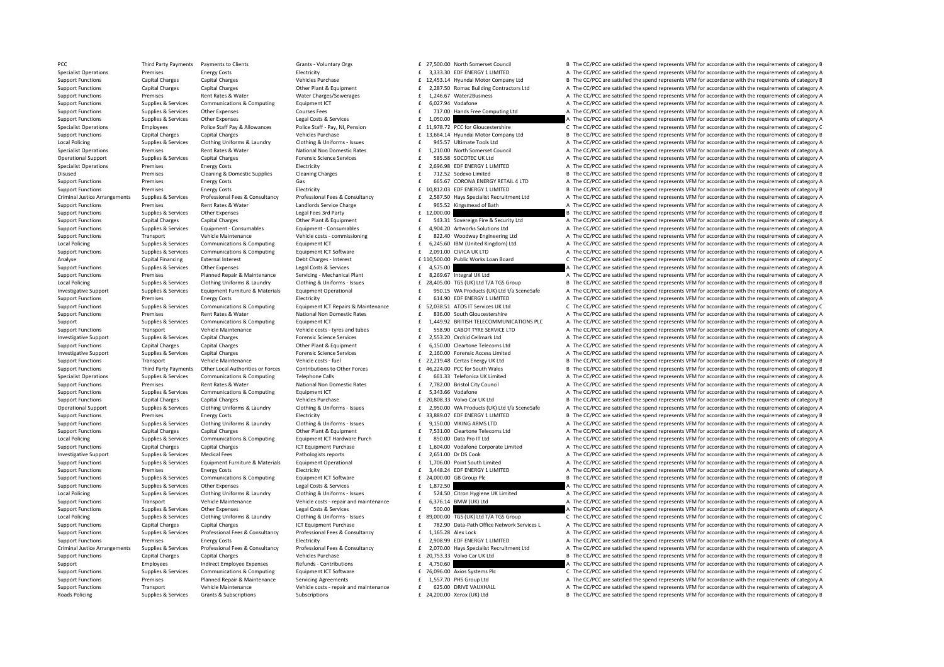PCC Third Party Payments Payments to Clients Same Crants - Voluntary Orgs 27,500.00 North Somerset Council B The CC/PCC are satisfied the spend represents VFM for accordance with the requirements of category B Specialist Operations Premises Energy Costs Electricity Electricity and the same and the spend represents VFM for accordance with the requirements of category A Support Functions Capital Charges Capital Charges Capital Charges Vehicles Purchase 12,453.14 Hyundai Motor Company Ltd B The CC/PCC are satisfied the spend represents VFM for accordance with the requirements of category B Support Functions Capital Charges Capital Charges Capital Charges Capital Charges Capital Charges Capital Charges Capital Charges Other Plant & Equipment Capital Charges Capital Charges Other Plant & Equipment Charges of t Support Functions Premises Rent Rates are satisfied the spend represents VFM for accordance with the requirements of category A Support Functions Supplies & Services Communications & Computing Equipment ICT and Equipment ICT and Equipment ICT a Equipment ICT and the Support Functions A The CC/PCC are satisfied the spend represents VFM for accordanc Support Functions Supplies & Services Other Expenses Courses Fees Courses Fees Fees Feed and the computing Ltd A The CC/PCC are satisfied the spend represents VFM for accordance with the requirements of category A The Cour Support Functions Supplies & Services Other Expenses Legal Costs & Services Legal Costs & Services Legal Costs & Services 1,050.00 **Expenditions are a Conditional Conditions** A The CC/PCC are satisfied the spend represents Specialist Operations Employees Police Staff Pay & Allowances Police Staff - Pay, NJ. Pension Entangle 1.1978.72 PCC for Gloucestershire C The CC/PCC are satisfied the spend represents VFM for accordance with the requireme Support Functions Capital Charges Capital Charges Capital Charges Capital Charges Vehicles Purchase 13,664.14 Hyundai Motor Company Ltd B The CC/PCC are satisfied the spend represents VFM for accordance with the requiremen Local Policing Comples Supplies & Services Clothing Uniforms & Laundry Clothing & Uniforms - Issues E 945.57 Ultimate Tools Ltd A The CC/PCC are satisfied the spend represents VEM for accordance with the requirements of ca Specialist Operations Premises Rent Rates & Water National Non Domestic Rates f 1,210.00 North Somerset Council A The CC/PCC are satisfied the spend represents VFM for accordance with the requirements of category A Operational Support Supplies & Services Capital Charges Services Forensic Science Services 585.58 SOCOTEC UK Ltd A The CC/PCC are satisfied the spend represents VFM for accordance with the requirements of category A The Cr Specialist Operations Premises Energy Costs Electricity Electricity and Electricity and Electricity and Electricity and Electricity and Electricity and Electricity and Electricity and Electricity and Electricity and Electr Disused Premises Cleaning & Domestic Supplies Cleaning Charges Cleaning Charges F 712.52 Sodexo Limited B The CC/PCC are satisfied the spend represents VFM for accordance with the requirements of category B Support Functions Premises Energy Costs Gas Gas Gas Energy Costs Gas Gas Energy Costs Gas CORONA ENERGY RETAIL 4 LTD A The CC/PCC are satisfied the spend represents VFM for accordance with the requirements of category A Support Functions Premises Premises Energy Costs Electricity Electricity Electricity 10,812.03 EDF ENERGY 1 LIMITED B The CC/PCC are satisfied the spend represents VFM for accordance with the requirements of category B The Criminal Justice Arrangements Supplies & Services Professional Fees & Consultancy Professional Fees & Consultancy Professional Fees & Consultancy Professional Fees & Consultancy Professional Fees & Consultancy expressional Support Functions Premises Rent Rates & Water Landlords Service Charge 1965.52 Kingsmead of Bath A The CC/PCC are satisfied the spend represents VFM for accordance with the requirements of category A Support Functions Supplies & Services Other Expenses Legal Fees 3rd Party Legal Fees 3rd Party 12,000.00 E 12,000.00 B The CC/PCC are satisfied the spend represents VFM for accordance with the requirements of category B Cr  $\sim$  543.31 Sovereign Fire & Security Ltd  $\sim$  A The CC/PCC are satisfied the spend represents VFM for accordance with the requirements of category A Supplies & Services Supplies Research Consumables For Form Equipment - Consumables For Form Equipment - Consumables For the CONCES Care in the COPCC are satisfied the spend represents VFM for accordance with the requiremen Support Functions Transport Vehicle Maintenance Vehicle costs – commissioning 822.40 Woodway Engineering Ltd A The CC/PCC are satisfied the spend represents VFM for accordance with the requirements of category A Local Policing Supplies And Supplies & Services Communications & Computing Equipment ICT Equipment ICT Software and Formations Category A The CC/PCC are satisfied the spend represents VFM for accordance with the requiremen A The CC/PCC are satisfied the spend represents VFM for accordance with the requirements of category A Analyse Capital Financing External Interest 110,000 Debt Charges – Interest 110,500.0 Public Works Loan Board C The CC/PCC are satisfied the spend represents VFM for accordance with the requirements of category C The CC/PC Support Functions Supplies & Services Other Expenses Legal Costs & Services 4,575.00 4,575.00 A The CC/PCC are satisfied the spend represents VFM for accordance with the requirements of category A Support Functions Premises Planned Repair & Maintenance Servicing - Mechanical Plant and Barance Servicing Conting & Deriving Plant and Barance Servicing Plant and Barance Servicing Conting A The CC/PCC are satisfied the s B The CC/PCC are satisfied the spend represents VFM for accordance with the requirements of category B Investigative Support Supplies & Services Equipment Furniture & Materials Equipment Operational Equipment Operational E 950.15 WA Products (UK) Ltd t/a SceneSafe A The CC/PCC are satisfied the spend represents VFM for acco Support Functions Premises Energy Costs Electricity Electricity and the spend and the CC/PCC are satisfied the spend represents VFM for accordance with the requirements of category A Support Functions Supplies & Services Communications & Computing Equipment ICT Repairs & Maintenance and E 2,038.51 ATOS IT Services UK Ltd CPCC are satisfied the spend represents VFM for accordance with the requirements o E 836.00 South Gloucestershire A The CC/PCC are satisfied the spend represents VFM for accordance with the requirements of category A Support Supplies Supplies & Services Communications & Computing Equipment ICT Equipment ICT Equipment ICT Examples and the SEAS ON THE SEAS ON CARDITYRE SERVICE ITD A The CC/PCC are satisfied the spend represents VFM for a Support Functions Transport Vehicle Maintenance Vehicle Maintenance Vehicle costs - tyres and tubes of 558.90 CABOT TYRE SERVICE LTD A The CC/PCC are satisfied the spend represents VEM for accordance with the requirements Investigative Support Supplies & Services Capital Charges Market Support Capital Charges Support Support Support Support Capital Charges Support Support of the Support of the Compact of the Support of the Support of the Ca Support Functions Capital Charges Capital Charges Other Plant & Foundment 6, 150.00 Cleartone Telecoms Ltd A The CC/PCC are satisfied the spend represents VFM for accordance with the requirements of category A Experience of the COPCC are satisfied the separatory of the requirements of category and the complete Support Supplies & Services Capital Charges Category A Free Services (Concess Limited a Transport Support Support Vehicl Support Functions Transport Vehicle Maintenance Vehicle costs – fuel 22,219.48 Certas Energy UK Itd B The CC/PCC are satisfied the spend represents VFM for accordance with the requirements of category B Support Functions Third Party Payments Other Local Authorities or Forces Contributions to Other Forces and E 46,224.00 PCC for South Wales B The CC/PCC are satisfied the spend represents VFM for accordance with the require Supplies & Services Communications & Computing Telephone Calls and Telephone Calls of the COMECALLS TRECOPCC are satisfied the spend represents VFM for accordance with the requirements of category A The COPCC are satisfied Support Functions Premises Rent Rates Rent Rates Rent Rational Non Domestic Rates **F** 7,782.00 Bristol City Council A The CC/PCC are satisfied the spend represents VFM for accordance with the requirements of category A Sup Support Functions Supplies & Services Communications & Computing Foulpment ICT  $f = 5.343.66$  Vodafone A The CC/PCC are satisfied the spend represents VEM for accordance with the requirements of category A Support Functions Capital Charges Capital Charges Vehicles Purchase 20,808.33 Yolvo Car UK Ltd B The CC/PCC are satisfied the spend represents VFM for accordance with the requirements of category B Operational Support Supplies & Services Clothing Uniforms & Laundry Clothing & Uniforms - Issues Entergy of the CONNON Clothing Allendoms - Issues Entergy Operational Support Allendoms of category A The CC/PCC are satisfie Exectricity **E** 33,889.07 EDF ENERGY 1 LIMITED B The CC/PCC are satisfied the spend represents VFM for accordance with the requirements of category B Supplies & Supplies & Services Clothing Uniforms & Laundry Clothing & Uniforms - Issues E 9,150.00 VIKING ARMS LTD A The CC/PCC are satisfied the spend represents VFM for accordance with the requirements of category A Support Functions Capital Charges Capital Charges Capital Charges Other Plant & Equipment Communications Other Plant & Equipment and the CC/PCC are satisfied the spend represents VFM for accordance with the requirements of Sunning & Services Communications & Communications & Communications & Communications & Communications & Communications & Communications & Communications & Communications Foundations Durch COM Data Pro IT Itd a The CC/PCC a Support Functions Capital Charges Capital Charges 1,604.00 Vodafone Corporate Limited A The CC/PCC are satisfied the spend represents VFM for accordance with the requirements of category A Investigative Support Supplies & Services Medical Fees Pathologists reports 2,651.00 Dr DS Cook A The CC/PCC are satisfied the spend represents VFM for accordance with the requirements of category A Supplies Supplies & Services Equipment Furniture & Materials Equipment Operational and E 1,706.00 Point South Limited Material A The CC/PCC are satisfied the spend represents VFM for accordance with the requirements of cat Support Functions Premises Fuergy Costs Functions Electricity Figures and the COSTS of the COPCC are satisfied the spend represents VFM for accordance with the requirements of category A Support Functions Supplies & Services Communications & Computing Equipment ICT Software and Equipment CT Software and Equipment CT Software and Equipment CT Software and Equipment CT Software and Equipment CT Software and Support Functions Supplies & Services Other Expenses Legal Costs & Services Legal Costs & Services 1,872.50 **E** 1,872.50 **A The CC/PCC are satisfied the spend represents VFM for accordance with the requirements of category** Local Policing Control of Supplies & Services Clothing Uniforms & Laundry Clothing & Uniforms Category A Supplies Category A Conting Uniforms and Conting Multimate and the S24.50 Citron Hygiene UK Limited a Transport of th Support Functions Transport Vehicle Maintenance Vehicle costs ‐ repair and maintenance F 6,376.14 BMW (UK) Ltd A The CC/PCC are satisfied the spend represents VFM for accordance with the requirements of category A Support Functions Supplies & Services Other Expenses Legal Costs & Services Legal Costs & Services 500.00 EGS ARE CONCENT A THE CC/PCC are satisfied the spend represents VFM for accordance with the requirements of category Local Policing Supplies Supplies & Services Clothing Uniforms & Laundry Clothing & Uniforms - Issues E 89,000.00 TGS (UK) Ltd T/A TGS Group C The CC/PCC are satisfied the spend represents VFM for accordance with the requir Support Functions Capital Charges Capital Charges Capital Charges Capital Charges Capital Charges Capital Charges Capital Charges Capital Charges Capital Charges Capital Charges Capital Charges Capital Charges Capital Char Support Functions Supplies & Services Professional Fees & Consultancy Professional Fees & Consultancy Professional Fees & Consultancy Professional Fees & Consultancy Professional Fees & Consultancy Function Support Functio Support Functions Premises Energy Costs Electricity Electricity Electricity Electricity 2,908.99 EDF ENERGY 1 LIMITED A The CC/PCC are satisfied the spend represents VFM for accordance with the requirements of category A T Criminal Justice Arrangements Supplies & Services Professional Fees & Consultancy Professional Fees & Consultancy Professional Fees & Consultancy Professional Fees & Consultancy Professional Fees & Consultancy F 2,070.00 H Support Functions Capital Charges Capital Charges 2003 Vehicles Purchase 20,753.33 Yolvo Car UK Ltd B The CC/PCC are satisfied the spend represents VFM for accordance with the requirements of category B Support Employees Indirect Employee Expenses Refunds - Contributions and Employee Expenses Refunds - Contributions Entergal and Entergal are contributions and the CC/PCC are satisfied the spend represents VFM for accordanc C The CC/PCC are satisfied the spend represents VFM for accordance with the requirements of category C Support Functions Premises Planned Repair & Maintenance Servicing Agreements 1,557.70 PHS Group Ltd A The CC/PCC are satisfied the spend represents VFM for accordance with the requirements of category A Support Functions Transport Vehicle Maintenance Vehicle costs ‐ repair and maintenance 625.00 DRIVE VAUXHALL A The CC/PCC are satisfied the spend represents VFM for accordance with the requirements of category A Roads Policing Supplies & Services Grants & Subscriptions Subscriptions Subscriptions Subscriptions 24,200.00 Xerox (UK) Ltd B The CC/PCC are satisfied the spend represents VFM for accordance with the requirements of categ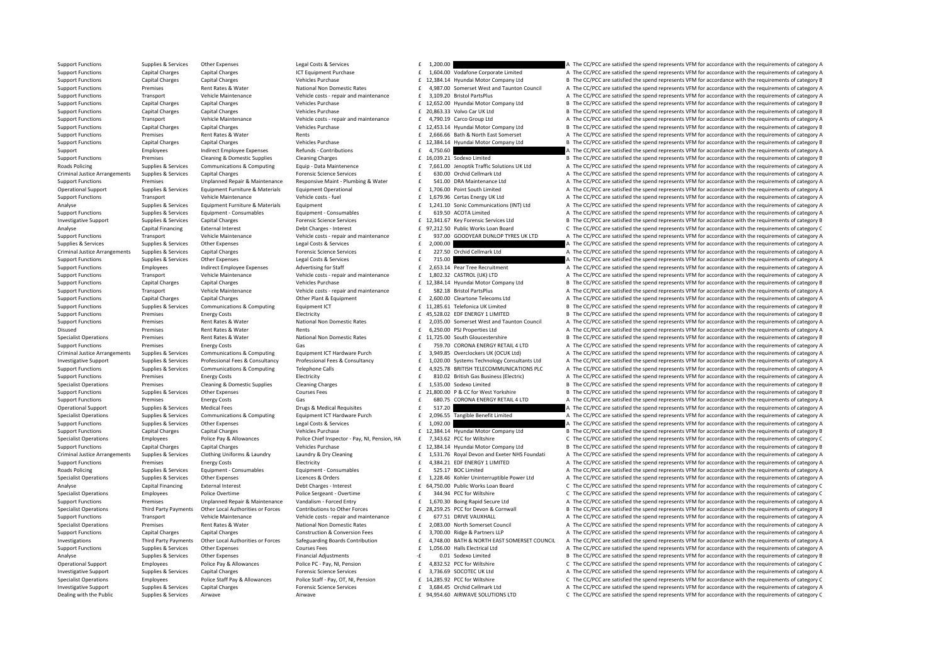Support Functions Supplies & Services Other Expenses Legal Costs & Services Legal Costs & Services 1,200.00 **E 1,200.00** A The CC/PCC are satisfied the spend represents VFM for accordance with the requirements of category Support Functions Capital Charges Capital Charges ICT Equipment Purchase 1,604.00 Vodafone Corporate Limited A The CC/PCC are satisfied the spend represents VFM for accordance with the requirements of category A Support Functions Capital Charges Capital Charges Vehicles Purchase 12,384.14 Hyundai Motor Company Ltd B The CC/PCC are satisfied the spend represents VFM for accordance with the requirements of category B Support Functions Premises Rent Rates & Water Mational Non Domestic Rates and Taylor and Taunton Council and Rect/PCC are satisfied the spend represents VFM for accordance with the requirements of category A<br>Support Functi Transport Vehicle Maintenance Vehicle costs - repair and maintenance f 3.109.20 Bristol PartsPlus A The CC/PCC are satisfied the spend represents VFM for accordance with the requirements of category A Support Functions Capital Charges Capital Charges Vehicles Purchase 12,652.00 Hyundai Motor Company Ltd B The CC/PCC are satisfied the spend represents VFM for accordance with the requirements of category B Vehicles Purcha Support Functions Capital Charges Capital Charges 2018 20 and Vehicles Purchase 20,863.33 2 20,863.33  $VolvO$  Car UK Ltd B The CC/PCC are satisfied the spend represents VFM for accordance with the requirements of category B Support Functions Transport Vehicle Maintenance Vehicle costs - repair and maintenance f 4,790.19 Carco Group Ltd A The CC/PCC are satisfied the spend represents VFM for accordance with the requirements of category A Support Functions Capital Charges Capital Charges Vehicles Purchase 12,453.14 Hyundai Motor Company Ltd B The CC/PCC are satisfied the spend represents VFM for accordance with the requirements of category B Support Functions Premises Rent Rates & Water Rents Rents Rents Rents Rents Rents Rents Rents Rents Rents Rents Rents Rents Rents A The CC/PCC are satisfied the spend represents VFM for accordance with the requirements of Support Functions Capital Charges Capital Charges Capital Charges Vehicles Purchase 12,384.14 Hyundai Motor Company Ltd B The CC/PCC are satisfied the spend represents VFM for accordance with the requirements of category B Support Employees Indirect Employee Expenses Refunds Contributions  $\epsilon$  a 750.60 cc  $\epsilon$  and  $\epsilon$  are satisfied the spend represents VFM for accordance with the requirements of category A Support Functions Premises Cleaning & Domestic Supplies Cleaning Charges F 16,039.21 Sodexo Limited B The CC/PCC are satisfied the spend represents VFM for accordance with the requirements of category B Realty and the sequ Roads Policing Supplies & Services Communications & Computing Equip-Data Maintenence and Fores of The COPC are satisfied the spend represents VFM for accordance with the requirements of category A<br>Criminal lustice Arrangem Criminal Justice Arrangements Supplies & Services Capital Charges Forensic Science Services Forensic Science Services Forensic Science Services F 630.00 Orchid Cellmark Ltd A The CC/PCC are satisfied the spend represents V Support Functions Premises Unplanned Repair & Maintenance Responsive Maint - Plumbing & Water E 541.00 DRA Maintenance Ltd A The CC/PCC are satisfied the spend represents VFM for accordance with the requirements of categor Operational Support Support Supporter Support Equipment Furniture & Materials Equipment Operational Equipment Operational Control of the CO/PCC are satisfied the spend represents VFM for accordance with the requirements of Support Functions Transport Vehicle Maintenance Vehicle costs – fuel exists and the costs and the CC/PCC are satisfied the spend represents VEM for accordance with the requirements of category A Analyse Supplies & Services Equipment Furniture & Materials Equipment 1,241.10 Sonic Communications (INT) Ltd A The CC/PCC are satisfied the spend represents VFM for accordance with the requirements of category A Support Functions Supplies & Services Equipment - Consumables Equipment - Consumables Equipment - Consumables Equipment - Consumables Equipment - Consumables Equipment - Consumables Equipment - Consumables Equipment - Cons Investigative Support Supplies & Services Capital Charges Forensic Science Services 12,341.6 £ Key Forensic Services Ltd <sup>B</sup> The CC/PCC are satisfied the spen 7 d represents VFM for accordance with the requirements of category B Analyse Capital Financing External Interest Debt Charges ‐ Interest 97,212.5 £ Public Works Loan Board C The CC/PCC are satisfied the spend 0 represents VFM for accordance with the requirements of category C Support Functions Transport Vehicle Maintenance Vehicle costs - repair and maintenance CHO 337.00 GOODYEAR DUNLOP TYRES UK LTD A The CC/PCC are satisfied the spend represents VFM for accordance with the requirements of cat Supplies & Services Supplies & Services Other Expenses 2010 Legal Costs & Services 2,000.00 E 2,000.00 Legal Costs A The CC/PCC are satisfied the spend represents VFM for accordance with the requirements of category A Crim 227.50 Orchid Cellmark Ltd **A** The CC/PCC are satisfied the spend represents VFM for accordance with the requirements of category A Support Functions Supplies & Services Other Expenses Legal Costs & Services **2007 2008** THE COST 2008 2009 2009 201<br>Support Functions Functions Services Medicate Employee Expenses Advertising for Staff and a 2008 2015 2016 Support Functions Employees Indirect Employee Expenses Advertising for Staff  $\epsilon$  2.653.14 Pear Tree Recruitment A The CC/PCC are satisfied the spend represents VFM for accordance with the requirements of category A Transport Wehicle Maintenance Vehicle costs - repair and maintenance 1920.32 CASTROL (UK) LTD A The CC/PCC are satisfied the spend represents VFM for accordance with the requirements of category A Vehicle costs - repair an B The CC/PCC are satisfied the spend represents VFM for accordance with the requirements of category B Transport Vehicle Maintenance Vehicle costs - repair and maintenance F 582.18 Bristol PartsPlus A The CC/PCC are satisfied the spend represents VFM for accordance with the requirements of category A Support Functions Capital Charges Capital Charges Other Plant & Equipment 2,600.00 Cleartone Telecoms Ltd A The CC/PCC are satisfied the spend represents VFM for accordance with the requirements of category A Support Functions Supplies & Services Communications & Computing Equipment ICT and Equipment ICT and Equipment ICT and Equipment ICT and Equipment ICT and Equipment ICT and Equipment ICT and Equipment ICT and Equipments of B The CC/PCC are satisfied the spend represents VFM for accordance with the requirements of category B Support Functions Premises Rent Rates & Water Mational Non Domestic Rates and Taunton Council A The CC/PCC are satisfied the spend represents VFM for accordance with the requirements of category A<br>Disused Premises Premises Premises Rent Rates & Water Rents Rents Rents Rents Rents Rents A The CC/PCC are satisfied the spend represents VFM for accordance with the requirements of category A Specialist Operations Premises Rent Rates & Water National Non Domestic Rates **11,725.00** Suuth Gloucestershire B The CC/PCC are satisfied the spend represents VFM for accordance with the requirements of category B Gas Gat Support Functions Premises Energy Costs Gas Gas Gas Functional Developments of category A The CC/PCC are satisfied the spend represents VFM for accordance with the requirements of category A Criminal Justice Arrangements Supplies & Services Communications & Computing Equipment ICT Hardware Purch and Sample of the Sample of the CONCOMERS ON A The CC/PCC are satisfied the spend represents VFM for accordance with Investigative Support Support Support Support Support Support Support Professional Fees & Consultancy Professional Fees & Consultancy Professional Fees & Consultancy Consultation Care attending Consultants of care attendin Support Functions Supplies & Services Communications & Computing Telephone Calls and Felephone Calls of A,925.78 BRITISH TELECOMMUNICATIONS PLC A The CC/PCC are satisfied the spend represents VFM for accordance with the re Support Functions Premises Energy Costs Energy Costs Electricity Electricity and the Support Electricity and Electricity and Electricity and Electricity and Electricity and Electricity and Electricity and Electricity and E Specialist Operations Premises Cleaning & Domestic Supplies Cleaning Charges Cleaning Charges 1,535.00 Sodexo Limited B The CC/PCC are satisfied the spend represents VFM for accordance with the requirements of category B C Support Functions Supplies & Services Other Expenses Courses Fees 21,800.00 P & CC for West Yorkshire B The CC/PCC are satisfied the spend represents VFM for accordance with the requirements of category B Support Functions Premises Energy Costs Gas Gas Gas Energy Costs Gas Gas Energy Costs Gas CORONA ENERGY RETAIL 4 LTD A The CC/PCC are satisfied the spend represents VFM for accordance with the requirements of category A Operational Support Supplies & Services Medical Fees Drugs & Medical Requisites Feed Process Computing Computing Computing Equiporent UT Hardware Purch Feeding Represents Many and CO/PCC are satisfied the spend represents A The CC/PCC are satisfied the spend represents VFM for accordance with the requirements of category A Support Functions Supplies & Services Other Expenses Legal Costs & Services Legal Costs & Services 1,092.00 **E 1,092.00** A The CC/PCC are satisfied the spend represents VFM for accordance with the requirements of category Support Functions Capital Charges Capital Charges Capital Charges Allowances Vehicles Purchase 12,384.14 E 12,384.14 Hyundai Motor Company Ltd B The CC/PCC are satisfied the spend represents VFM for accordance with the req Spacialist Operations Services Police Dav & Allowances Police Chief Inspection La Case of category C The COPC are catisfied the space of category C The COPC are catisfied the space of category C The COPC are category C The Support Functions Capital Charges Capital Charges Vehicles Purchase 12,384.14 Hyundai Motor Company Ltd B The CC/PCC are satisfied the spend represents VFM for accordance with the requirements of category B Criminal Justice Arrangements Supplies & Services Clothing Uniforms & Laundry Laundry & Dry Cleaning Laundry & Dry Cleaning Laundry & Dry Cleaning Facebook of 1,531.76 Royal Devon and Exeter NHS Foundati A The CC/PCC are s Support Functions Premises Energy Costs Electricity Electricity Editoric Electricity Electricity and the second are a street of the CC/PCC are satisfied the spend represents VFM for accordance with the requirements of cate Roads Policing Supplies Services Equipment - Consumables Equipment - Consumables Equipment - Consumables Equipment - Consumables **Equipment - Consumables Equipment - Consumables Equipment - Consumables Equipment - Co** Supplies & Services Other Expenses Corders Supplies & Services Other Expenses Corders Supplies and Record December 2028.46 Kohler Uninterruptible Power Ltd A The CC/PCC are satisfied the spend represents VFM for accordance Analyse Capital Financing External Interest Debt Charges - Interest Debt Charges - Interest E 64,750.00 Public Works Loan Board C The CC/PCC are satisfied the spend represents VFM for accordance with the requirements of ca Specialist Covertime Police Sergeant - Overtime Police Sergeant - Overtime Specialist Covertime Specialist Covertime Specialist Covertime CC/PCC are satisfied the spend represents VFM for accordance with the requirements o Support Functions Premises Unplanned Repair & Maintenance Vandalism - Forced Entry For 1.670.30 Boing Rapid Secure Itd A The CC/PCC are satisfied the spend represents VEM for accordance with the requirements of category A Specialist Operations Third Party Payments Other Local Authorities or Forces Contributions to Other Forces E 28,259.25 PCC for Devon & Comwall B The CC/PCC are satisfied the spend represents VFM for accordance with the req Support Functions Transport Vehicle Maintenance Vehicle costs – repair and maintenance and maintenance 677.51 DRIVE VAUXHALL A The CC/PCC are satisfied the spend represents VFM for accordance with the requirements of categ Specialist Operations Premises Rent Rates & Water National Non Domestic Rates 2,083.00 North Somerset Council A The CC/PCC are satisfied the spend represents VFM for accordance with the requirements of category A Support Functions Capital Charges Capital Charges Construction & Conversion Fees £ 3,700.00 Ridge & Partners LLP A The CC/PCC are satisfied the spend represents VFM for accordance with the requirements of category A Third Party Payments Other Local Authorities or Forces Safeguarding Boards Contribution 1.4,748.00 BATH & NORTH EAST SOMERSET COUNCIL A The CC/PCC are satisfied the spend represents VFM for accordance with the requirements Support Functions Supplies & Services Other Expenses Courses Fees Courses Fees and Courses Fees a course Fees Function of a The CC/PCC are satisfied the spend represents VFM for accordance with the requirements of category Analyse Supplies & Services Other Expenses Financial Adjustments Financial Adjustments 1. 10.01 Sodexo Limited B The CC/PCC are satisfied the spend represents VFM for accordance with the requirements of category B Operational Support Employees Police Pay & Allowances Police PC - Pay, NI, Pension 4,832.52 PCC for Wiltshire C The CC/PCC are satisfied the spend represents VFM for accordance with the requirements of category C Investiga A The CC/PCC are satisfied the spend represents VFM for accordance with the requirements of category A Specialist Operations Employees Police Staff Pay & Allowances Police Staff - Pay, OT, NL Pension f 14.285.92 PCC for Wiltshire C. The CC/PCC are satisfied the spend represents VFM for accordance with the requirements of ca Investigative Support Supplies & Services Capital Charges Forensic Science Services 3,684.45 Orchid Cellmark Ltd A The CC/PCC are satisfied the spend represents VFM for accordance with the requirements of category A Dealing with the Public Supplies & Services Airwave Airwave Airwave Airwave Airwave Airwave Airwave Airwave Airwave Airwave Airwave Airwave Airwave Airwave Airwave Airwave Airwave Airwave Airwave Airwave Airwave Airwave Ai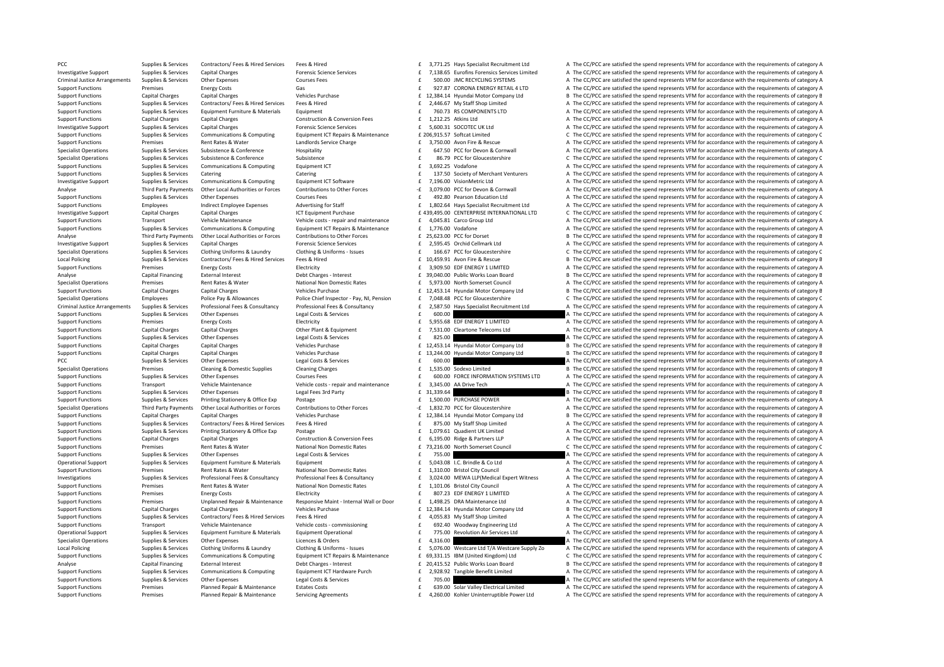PCC Supplies & Services Contractors/ Fees & Hired Services Fees & Hired 3,771.25 Hays Specialist Recruitment Ltd A The CC/PCC are satisfied the spend represents VFM for accordance with the requirements of category A Investigative Support Supplies & Services Capital Charges Forensic Science Services Forensic Science Services Forensic Science Services F 7,138.65 Eurofins Forensics Services A The CC/PCC are satisfied the spend represents Criminal Justice Arrangements Supplies & Services Other Expenses Courses Fees Courses Fees 500.00 JMC RECYCLING SYSTEMS A The CC/PCC are satisfied the spend represents VFM for accordance with the requirements of category A Support Functions Premises Energy Costs Gas Gas Gas Gas Gas Comment Control Comment of Category A Control Control Control Control Category A The CC/PCC are satisfied the spend represents VFM for accordance with the require B The CC/PCC are satisfied the spend represents VFM for accordance with the requirements of category B Supplies Supplies & Services Contractors/Fees & Hired Services Fees & Hired Examples Fees & Hired Support Functions<br>Support Functions Supplies & Services Foultoment Furniture & Materials Foultoment Fact The CZ, RSCOMPONENT Support Functions Supplies & Services Equipment Eurniture & Materials Equipment Equipment Equipment and the COMPONENTS LTD A The CC/PCC are satisfied the spend represents VFM for accordance with the requirements of categor Support Functions Capital Charges Capital Charges Construction & Conversion Fees  $f$  1,212.25 Atkins I td A The CC/PCC are satisfied the spend represents VFM for accordance with the requirements of category A Investigative Support Support Support Support Capital Charges Capital Charges Forensic Science Services 5,600.31 SOCOTEC UK Ltd A The CC/PCC are satisfied the spend represents VFM for accordance with the requirements of ca Suppliers & Suppliers & Computer Communications & Computing For Frequence E 200691557 Softcat Limited C. The CC/PCC are satisfied the spend represents VEM for accordance with the requirements of category C. Support Functions Premises Rent Rates & Water Landlords Service Charge **E** 3,750.00 Avon Fire & Rescue A The CC/PCC are satisfied the spend represents VFM for accordance with the requirements of category A The Conference A Specialist Operations Supplies & Sepulces Supplies Supplies Conference Hospitality Hospitalist Hospitalist Content Content Content Content Content Content Content Content Content Content Content Content Content Content Con Specialist Operations Supplies & Services Subsistence Subsistence Subsistence Subsistence Subsistence Subsistence Subsistence C The CC/PCC are satisfied the spend represents VFM for accordance with the requirements of cate Support Functions Supplies & Services Communications & Computing Equipment ICT and Support Equipment ICT and Support Functions A The CC/PCC are satisfied the spend represents VFM for accordance with the requirements of cat Support Functions Supplies & Services Catering Catering Catering Catering Catering 137.50 Society of Merchant Venturers A The CC/PCC are satisfied the spend represents VFM for accordance with the requirements of category A Investigative Support Supplies & Services Communications & Computing Equipment ICT Software E 7,196.00 VisionMetric Ltd A The CC/PCC are satisfied the spend represents VFM for accordance with the requirements of category A Third Party Payments Other Local Authorities or Forces Contributions to Other Forces - 1.079.00 PCC for Devon & Comwall A The CC/PCC are satisfied the spend represents VFM for accordance with the requirements of category A Support Functions Supplies & Services Other Expenses Courses Fees 6  $\text{F}$  492.80 Pearson Education Ltd A The CC/PCC are satisfied the spend represents VFM for accordance with the requirements of category A Support Functions Employees Employees and incited Employee Expenses Advertising for Staff and Adventising for Staff and F. 1.802.64 Havs Specialist Recruitment Ltd A The CC/PCC are satisfied the spend represents VFM for ac Investigative Support Support Capital Charges Capital Charges Capital Charges Capital Charges Capital Charges Capital Charges Capital Charges Capital Charges Capital Charges Capital Charges Capital Charges Capital Charges Transport Vehicle Maintenance Vehicle costs - repair and maintenance  $\pm 4.045.81$  Carco Group Ltd A The CC/PCC are satisfied the spend represents VFM for accordance with the requirements of category A Supplies & Services Communications & Computing Foujoment ICT Repairs & Maintenance F 1.776.00 Vodafone A The CC/PCC are satisfied the spend represents VEM for accordance with the requirements of category A Third Party Payments Other Local Authorities or Forces Contributions to Other Forces E 25.623.00 PCC for Dorset B The CC/PCC are satisfied the spend represents VFM for accordance with the requirements of category B Investigative Support Supplies & Services Capital Charges Capital Charges Forensic Science Services 2,595.45  $\pm$  2,595.45 Orchid Cellmark Ltd A The CC/PCC are satisfied the spend represents VFM for accordance with the req 166.67 PCC for Gloucestershire C The CC/PCC are satisfied the spend represents VFM for accordance with the requirements of category C Local Policing Supplies & Services Contractors/ Fees & Hired Services Fees & Hired 10,459.91 Avon Fire & Rescue B The CC/PCC are satisfied the spend represents VFM for accordance with the requirements of category B The CC/ Support Functions Premises Energy Costs Electricity Electricity and the support of the Support Electricity and the Support of the CC/PCC are satisfied the spend represents VFM for accordance with the requirements of catego Analyse Capital Financing External Interest Debt Charges – Interest Debt Charges and Supplic Works Loan Board B The CC/PCC are satisfied the spend represents VFM for accordance with the requirements of category B The CC/PC A The CC/PCC are satisfied the spend represents VFM for accordance with the requirements of category A Support Functions Capital Charges Capital Charges Vehicles Purchase 12,453.14 Hyundai Motor Company Ltd B The CC/PCC are satisfied the spend represents VFM for accordance with the requirements of category B Specialist Operations Employees Police Pay & Allowances Police Chief Inspector - Pay, NI, Pension £ 7.048.48 PCC for Gloucestershire C The CC/PCC are satisfied the spend represents VFM for accordance with the requirements Criminal Justice Arrangements Supplies & Services Professional Fees & Consultancy Professional Fees & Consultancy Professional Fees & Consultancy Professional Fees & Consultancy F 2,587.50 Hays Specialist Recruitment Ltd A Supplies A Supplies A Supplies A The CC/PCC are satisfied the spend represents VFM for accordance with the requirements of category A Support Functions Premises Energy Costs Electricity Electricity and Electricity and Electricity and Electricity and Electricity and Electricity and Electricity and Electricity and Electricity and Electricity and Electricit Support Functions Capital Charges Capital Charges Other Plant & Foujoment 7,531.00 Cleartone Telecoms Ltd A The CC/PCC are satisfied the spend represents VFM for accordance with the requirements of category A Support Functions Supplies & Services Other Expenses Legal Costs & Services **E** 825.00 A The CC/PCC are satisfied the spend represents VFM for accordance with the requirements of category A Support Functions Capital Charges Capital Charges Vehicles Purchase 12,453.14 Hyundai Motor Company Ltd B The CC/PCC are satisfied the spend represents VFM for accordance with the requirements of category B Support Functions Capital Charges Capital Charges Capital Charges Vehicles Purchase 13,244.00 E Hyundai Motor Company Ltd B The CC/PCC are satisfied the spend represents VFM for accordance with the requirements of categ PCC Supplies & Services Other Expenses Legal Costs & Services 600.00 **E** 600.00 **E** 600.00 **A** The CC/PCC are satisfied the spend represents VFM for accordance with the requirements of category A The CC/PCC are satisfied t Specialist Operations Premises Cleaning & Domestic Supplies Cleaning Charges Cleaning Charges 1,535.00 Sodexo Limited B The CC/PCC are satisfied the spend represents VFM for accordance with the requirements of category B C Support Functions Supplies & Services Other Expenses Courses Fees 600.00 FORCE INFORMATION SYSTEMS LTD A The CC/PCC are satisfied the spend represents VFM for accordance with the requirements of category A<br>Support Function Support Vehicle Maintenance Vehicle costs - repair and maintenance 1974-1980 E 3,345.00 A Drive Tech 1980 A The CC/PCC are satisfied the spend represents VFM for accordance with the requirements of category A Support are s Support Functions Supplies & Services Other Expenses Legal Fees 3rd Party 31,339.6 **31,339.64 31,339.64 B** The CC/PCC are satisfied the spend represents VFM for accordance with the requirements of category B Support Functions Supplies & Services Printing Stationery & Office Exp Postage 1,500.00 PURCHASE POWER A The CC/PCC are satisfied the spend represents VFM for accordance with the requirements of category A Specialist Operations Third Party Payments Other Local Authorities or Forces Contributions to Other Forces - 1,832.70 PCC for Gloucestershire - A The CC/PCC are satisfied the spend represents VFM for accordance with the re Capital Charges Vehicles Purchase 12,384.14 Expendix Company Ltd B The CC/PCC are satisfied the spend represents VFM for accordance with the requirements of category B Support Functions Supplies & Services Contractors/ Fees & Hired Services Fees & Hired Services Fees & Hired Services Fees & Hired Fees & Hired Fees A Hired Services Fees & Hired Fees A Hired Services Fees & Hired Fees A Hi Support Functions Supplies & Services Printing Stationery & Office Exp Postage Protection & Conversion Fase 5 1,079.61 Quadient UK Limited A The CC/PCC are satisfied the spend represents VFM for accordance with the require Support Functions Capital Charges Capital Charges Construction & Conversion Fees  $\epsilon$  6.195.00 Ridge & Partners LLP A The CC/PCC are satisfied the spend represents VFM for accordance with the requirements of category A Support Functions Premises Rent Rates & Water National Non Domestic Rates Fig. 216.00 North Somerset Council C The CC/PCC are satisfied the spend represents VFM for accordance with the requirements of category C Support Functions Supplies & Services Other Expenses Legal Costs & Services **Legal Costs & Services** 755.00 **E 755.00** A The CC/PCC are satisfied the spend represents VFM for accordance with the requirements of category A Operational Support Supplies & Services Equipment Euriture & Materials Equipment Euriture & Materials Equipment<br>Support Punctions Rent Battle & Materials Equipment Materials Equipment Extra a 1310 m Brittol City Council a Support Functions Premises Rent Rates & Water National Non Domestic Rates final City Council A The CC/PCC are satisfied the spend represents VFM for accordance with the requirements of category A Investigations Supplies & Services Professional Fees & Consultancy Professional Fees & Consultancy Professional Fees & Consultancy Professional Fees & Consultancy Professional Fees & Consultancy F 3,024.00 MEWA LLP (Medica Support Functions Premises Rent Rates & Water National Non Domestic Rates Feature Rates 2007.23 EDF ENERGY 1 LINITED A The CC/PCC are satisfied the spend represents VFM for accordance with the requirements of category A Th Support Functions Premises Energy Costs Electricity Electricity E 807.23 EDF ENERGY 1 LIMITED A The CC/PCC are satisfied the spend represents VFM for accordance with the requirements of category A The CC/PCC are satisfied Support Functions Premises Unplanned Repair & Maintenance Responsive Maint-Internal Wall or Door f 1.498.25 DRA Maintenance Itd A The CC/PCC are satisfied the spend represents VEM for accordance with the requirements of ca Support Functions Capital Charges Capital Charges Vehicles Purchase 12,384.14 Hyundai Motor Company Ltd B The CC/PCC are satisfied the spend represents VFM for accordance with the requirements of category B Support Functions Supplies & Services Contractors/Fees & Hired Services Fees & Hired Fees and Feed on the COPCC are satisfied the spend represents VFM for accordance with the requirements of category A<br>Support Functions Tr Support Functions Transport Vehicle Maintenance Vehicle costs – commissioning 692.40 Woodway Engineering Itd A The CC/PCC are satisfied the spend represents VEM for accordance with the requirements of category A Operational Support Supplies & Services Equipment Furniture & Materials Equipment Operational Support E 775.00 Revolution Air Services Ltd A The CC/PCC are satisfied the spend represents VFM for accordance with the require Specialist Operations Supplies & Services Other Expenses Alexandry Cleances & Orders Licences & Orders 4,316.00 E 4,316.00 Licences Compulst A The CC/PCC are satisfied the spend represents VFM for accordance Local Policing Supplies & Services Clothing Uniforms & Laundry Clothing & Uniforms - Issues for the Suppose of the Suppose of the CC/PCC are satisfied the spend represents VFM for accordance with the requirements of catego Suppliers & Suppliers & Computer Communications & Computing Foutbream Foutbream F 69331.15 IBM (United Kingdom) I td C. The CC/PCC are satisfied the spend represents VEM for accordance with the requirements of category C. Analyse Capital Financing External Interest Debt Charges - Interest Debt Charges - Interest 20,415.52 Public Works Loan Board B The CC/PCC are satisfied the spend represents VFM for accordance with the requirements of cate 2,928.92 Tangible Benefit Limited **A** The CC/PCC are satisfied the spend represents VFM for accordance with the requirements of category A<br>2015.00 A The CC/PCC are satisfied the spend represents VFM for accordance with the Support Functions Supplies & Services Other Expenses Legal Costs & Services Legal Costs & Services 705.00 **E 705.00** A The CC/PCC are satisfied the spend represents VFM for accordance with the requirements of category A Support Functions Premises Planned Repair & Maintenance Estates Costs 639.00 Solar Valley Electrical Limited A The CC/PCC are satisfied the spend represents VFM for accordance with the requirements of category A Support Functions Premises Planned Repair & Maintenance Servicing Agreements Fa, 260.00 Kohler Uninterruptible Power Ltd A The CC/PCC are satisfied the spend represents VFM for accordance with the requirements of category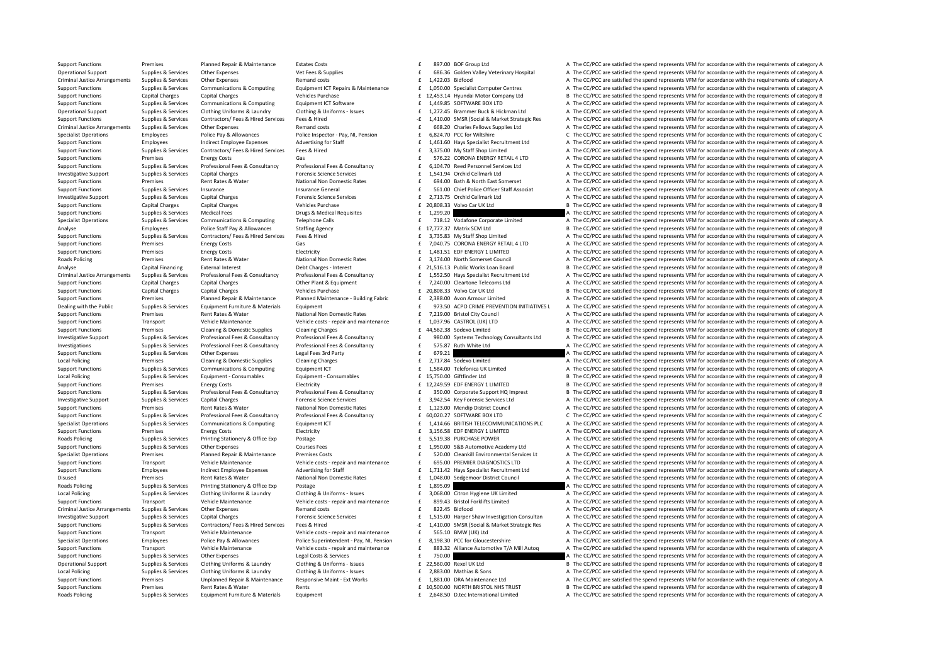Support Functions Premises Planned Repair & Maintenance Estates Costs 897.00 BOF Group Ltd A The CC/PCC are satisfied the spend represents VFM for accordance with the requirements of category A Operational Support Supplies & Services Other Expenses Vet Fees & Supplies Vet Fees & Supplies Vet Fees & Supplies Vet Fees & Supplies F 686.36 Golden Valley Veterinary Hospital A The CC/PCC are satisfied the spend represe Criminal Justice Arrangements Supplies & Services Other Expenses Remand costs Remand costs 1,422.03 Bidfood A The CC/PCC are satisfied the spend represents VFM for accordance with the requirements of category A The Crimina Support Functions Supplies & Services Communications & Computing Equipment ICT Repairs & Maintenance 1.050.00 Specialist Computer Centres A The CC/PCC are satisfied the spend represents VFM for accordance with the requirem Capital Charges Capital Charges Capital Charges Capital Charges Vehicles Purchase 12,453.14 Hyundai Motor Company Ltd B The CC/PCC are satisfied the spend represents VFM for accordance with the requirements of category B Support Functions Supplies & Services Communications & Computing Equipment ICT Software  $f$  1,449.85 SOFTWARE BOX LTD A The CC/PCC are satisfied the spend represents VFM for accordance with the requirements of category A Operational Support Supplies & Services Clothing Uniforms & Laundry Clothing & Uniforms Category A Clothing & Support Support Support Support Support Support Support Support Support Support Clothing A Uniforms A United Stu Supplies & Services Contractors/ Fees & Hired Services Fees & Hired Services Fees & Hired Services Fees & Hired Services Fees & Hired Services Fees & Hired Services Fees & Hired Services Fees & Hired Services Fees & Hired Criminal Justice Arrangements Supplies & Services Other Expenses Remand costs Remand costs and the costs of the CC/PCC are satisfied the spend represents VFM for accordance with the requirements of category A Specialist Operations Employees Police Pay & Allowances Police Inspector - Pay, NJ. Pension F 6.824.70 PCC for Wiltshire C. The CC/PCC are satisfied the spend represents VEM for accordance with the requirements of category Support Functions Employees Indirect Employee Expenses Advertising for Staff and Adventising for Staff and ELGAL AGLES Adventising for Staff and F. 1,461.60 Hays Specialist Recruitment Ltd A The CC/PCC are satisfied the sp Sunnort Eungripor Sunnities & Septices Contractors/Fees & Hired Septices Fees & Hired Fees & Hired Septices Fees & Hired Septical Contractors (Fees & Hired Septical September 2007 Care States Are a Area Are a Area Area Are Support Functions Premises Energy Costs Gas Gas Gas Function Costs Energy Costs Gas Functions Category A The CC/PCC are satisfied the spend represents VFM for accordance with the requirements of category A Support Functions Supplies & Services Professional Fees & Consultancy Professional Fees & Consultancy Professional Fees & Consultancy Professional Fees & Consultancy Professional Fees & Consultancy Professional Fees & Cons Investigative Support Supplies & Services Capital Charges Capital Charges Forensic Science Services Forensic Science Services Forensic Science Services Fundation of the CC/PCC are satisfied the spend represents VFM for acc Support Functions Premises Rent Rates & Water National Non Domestic Rates 694.00 Bath & North East Somerset A The CC/PCC are satisfied the spend represents VFM for accordance with the requirements of category A Support Functions Supplies & Services Insurance Support Insurance General Support of the Services Insurance Control of the Services Insurance General Support of the Services Insurance Category A The CC/PCC are satisfied th Investigative Support Supplies & Services Capital Charges Support Support Capital Charges 2,713.75 Orchid Cellmark Ltd A The CC/PCC are satisfied the spend represents VFM for accordance with the requirements of category A Support Functions Capital Charges Capital Charges 20,808.33 Vehicles Purchase 20,808.33 2 20,808.33 Yolvo Car UK Ltd B The CC/PCC are satisfied the spend represents VFM for accordance with the requirements of category B Support Functions Supplies & Services Medical Fees Drugs & Medical Requisites **E** 1,299.20 A The CC/PCC are satisfied the spend represents VFM for accordance with the requirements of category A The Channel Category A The C A The CC/PCC are satisfied the spend represents VEM for accordance with the requirements of category A Analyse Police Staff Pay & Allowances Staffing Agency 17, 277.37 Matrix SCM Ltd B The CC/PCC are satisfied the spend represents VFM for accordance with the requirements of category B Support Functions Supporters Services Contractors/ Fees & Hired Services Fees & Hired Fees & Hired Fees & Hired Fees & Hired Fees & Hired Fees & Hired Fees & Hired Fees & Hired Fees & Hired Fees & Hired Fees & Hired Fees & Support Functions Premises Energy Costs Gas Gas Gas Gas The CORONA ENERGY RETAIL 4 LTD A The CC/PCC are satisfied the spend represents VFM for accordance with the requirements of category A The Support Functions Premises E A The CC/PCC are satisfied the spend represents VFM for accordance with the requirements of category A Roads Policing Premises Rent Rates & Water National Non Domestic Rates 3,174.00 North Somerset Council A The CC/PCC are satisfied the spend represents VFM for accordance with the requirements of category A Capital Financing External Interest Debt Charges - Interest Debt Charges - Interest 21,516.13 Public Works Loan Board B The CC/PCC are satisfied the spend represents VFM for accordance with the requirements of category B Criminal Justice Arrangements Supplies & Services Professional Fees & Consultancy Professional Fees & Consultancy Professional Fees & Consultancy Professional Fees & Consultancy Professional Fees & Consultancy Fees accordi A The CC/PCC are satisfied the spend represents VFM for accordance with the requirements of category A Support Functions Capital Charges Capital Charges Vehicles Purchase 20,808.33 Yolvo Car UK Ltd B The CC/PCC are satisfied the spend represents VFM for accordance with the requirements of category B Support Functions Premises Planned Repair & Maintenance Planned Maintenance Building Fabric E 2.388.00 Avon Armour Limited A The CC/PCC are satisfied the spend represents VFM for accordance with the requirements of categor Dealing with the Public Supplies & Services Equipment Eurniture & Materials Equipment Euriture and Europe and the state of the Supples and the CONNE PREVENTION INITIATIVES LATHE CC/PCC are satisfied the spend represents VF A The CC/PCC are satisfied the spend represents VFM for accordance with the requirements of category A Support Eurotions Transport Vehicle Maintenance Vehicle costs - repair and maintenance  $\pm$  1,037.96 CASTROL (UK) LTD and The CC/PCC are satisfied the spend represents VFM for accordance with the requirements of category A Support Functions Premises Cleaning & Domestic Supplies Cleaning Charges and the spend and the CC/PCC are satisfied the spend represents VFM for accordance with the requirements of category B Investigative Support Supplies & Services Professional Fees & Consultancy Professional Fees & Consultancy Professional Fees & Consultancy Professional Fees & Consultancy Professional Fees & Consultancy Professional Fees & Investigations Supplies & Services Professional Fees & Consultancy Professional Fees & Consultancy Professional Fees & Consultancy Professional Fees & Consultancy F 575.87 Ruth White Ltd A The CC/PCC are satisfied the spen Support Functions Supplies & Services Other Expenses Legal Fees 3rd Party **E** 679.21 **Expenditus Control Control Control Control** Control Control Control Control Control Control Control Control Control Control Control Cont Local Policing Premises Cleaning & Domestic Supplies Cleaning Charges Cleaning Charges Cleaning Charges Cleaning Charges Cleaning Charges Cleaning Charges Cleaning Charges Cleaning Charges Cleaning Charges Cleaning Charges Support Functions Supplies & Services Communications & Computing Equipment ICT Equipment ICT 2013-00 Equipment ICT 2013-00 E 1,584.00 Telefonica UK Limited A The CC/PCC are satisfied the spend represents VFM for accordance Local Policing Supplies Supplies & Services Equipment - Consumables Equipment - Consumables Equipment - Consumables Equipment - Consumables Equipment - Consumables Equipment - Consumables Equipment - Consumables Equipment Energy Costs Electricity Electricity **Electricity** 12,249.59 EDF ENERGY 1 LIMITED B The CC/PCC are satisfied the spend represents VFM for accordance with the requirements of category B Support Electricity **12,249.59** EDF E Supplies & Services Professional Fees & Consultancy Professional Fees & Consultancy Professional Fees & Consultancy Professional Fees & Consultancy Consultancy (350.00 Corporate Support HO Imprest Burdes at Professional Fe Investigative Support Supplies & Services Capital Charges Capital Charges Forensic Science Services Forensic Science Services F 3,942.54 Key Forensic Services Ltd A The CC/PCC are satisfied the spend represents VFM for acc Support Functions Premises Rent Rates & Water National Non Domestic Rates 1,123.00 Mendip District Council A The CC/PCC are satisfied the spend represents VFM for accordance with the requirements of category A Support Func C The CC/PCC are satisfied the spend represents VFM for accordance with the requirements of category C Supplies & Services Communications & Computing Equipment ICT 6 1,414.66 BRITISH TELECOMMUNICATIONS PLC A The CC/PCC are satisfied the spend represents VFM for accordance with the requirements of category A Support Functions Premises Energy Costs Electricity Electricity and Support Electricity and Support Energy Costs EDF ENERGY 1 LIMITED A The CC/PCC are satisfied the spend represents VFM for accordance with the requirements Roads Policing Supplies Supplies & Services Printing Stationery & Office Exp Postage Postage Postage 5,519.38 PURCHASE POWER A The CC/PCC are satisfied the spend represents VFM for accordance with the requirements of categ Support Functions Supplies & Services Other Expenses Courses Fees 1 2550.00 S&B Automotive Academy Ltd A The CC/PCC are satisfied the spend represents VFM for accordance with the requirements of category A Specialist Operations Premises Planned Repair & Maintenance Premises Costs repairs Premises Costs Planned Repairs Premises Costs repairs and maintenance of S20.00 Cleankill Environmental Services Lt A The CC/PCC are satisf Support Eurotions Transport Vehicle Maintenance Vehicle costs-repair and maintenance  $\frac{E}{I}$  695.00 PREMIER DIAGNOSTICS LTD A The CC/PCC are satisfied the spend represents VFM for accordance with the requirements of cate Support Functions Employees Indirect Employee Expenses Advertising for Staff and Fig. 1.711.42 Havs Specialist Recruitment I td A The CC/PCC are satisfied the spend represents VEM for accordance with the requirements of ca Disused Premises Rent Rates & Water National Non Domestic Rates and the 1,048.00 Sedgemoor District Council A The CC/PCC are satisfied the spend represents VFM for accordance with the requirements of category A Rate Rent P Roads Policing Supplies A Services Printing Stationery & Office Exp Postage Printing A The CONFICE are satisfied the spend represents VFM for accordance with the requirements of category A Checker A The CONFICE are satisfi Local Policing Supplies Supplies & Services Clothing Uniforms & Laundry Clothing & Uniforms - Issues Clothing Clothing A Supplies and Transport Clothing Uniforms and Transport Clothing Clothing Clothing A Uniforms - Issues Support Functions Transport Vehicle Maintenance Vehicle costs - renair and maintenance F 899.43 Bristol Forklifts Limited A The CC/PCC are satisfied the spend represents VEM for accordance with the requirements of category Criminal Justice Arrangements Supplies & Services Other Expenses A The mand costs Bidfood Expenses Remand costs 822.45 Bidfood A The CC/PCC are satisfied the spend represents VFM for accordance with the requirements of cat Investigative Support Supplies & Services Capital Charges Capital Charges Porensic Science Services For the CONCERT CHARGES (1,515.00 Harger Shaw Investigation Consultan A The CC/PCC are satisfied the spend represents VFM Supplies & Services Contractors/ Fees & Hired Services Fees & Hired Services Fees & Hired Services Fees & Hired Services Fees & Hired Services Fees & Hired Services Fees & Hired Services Fees & Hired Services Fees & Hired Support Functions Transport Vehicle Maintenance Vehicle costs ‐ repair and maintenance F 565.10 BMW (UK) Ltd A The CC/PCC are satisfied the spend represents VFM for accordance with the requirements of category A Specialist Operations Employees Police Pay & Allowances Police Superintendent - Pay, NJ, Pension E 8,198.30 PCC for Gloucestershire A The CC/PCC are satisfied the spend represents VFM for accordance with the requirements o Support Functions Transport Vehicle Maintenance Vehicle costs - repair and maintenance F 883.32 Alliance Automotive T/A Mill Autog A The CC/PCC are satisfied the spend represents VFM for accordance with the requirements of Support Functions Supplies & Services City of the Expenses Costs and Costs & Services Costs and The COD of the COPCC are satisfied the spend represents VFM for accordance with the requirements of category A Operational Support Supplies & Services Clothing Uniforms & Laundry Clothing & Uniforms - Issues E 2,560.00 Rexel UK Ltd BT Re CC/PCC are satisfied the spend represents VFM for accordance with the requirements of category A The CC/PCC are satisfied the spend represents VFM for accordance with the requirements of category A Premises Unplanned Repair & Maintenance Responsive Maint - Ext Works E 1,881.00 DRA Maintenance Ltd Support Functions are actistied the spend represents VFM for accordance with the requirements of category A Support Functi Support Functions Premises Rent Rates & Water Rents Rents Rents Rents Rents Rents 10,500.00 NORTH BRISTOL NHS TRUST B The CC/PCC are satisfied the spend represents VFM for accordance with the requirements of category B Roads Policing Supplies & Services Equipment Furniture & Materials Equipment Equipment Equipment Equipment Expansional Limited A The CC/PCC are satisfied the spend represents VFM for accordance with the requirements of cat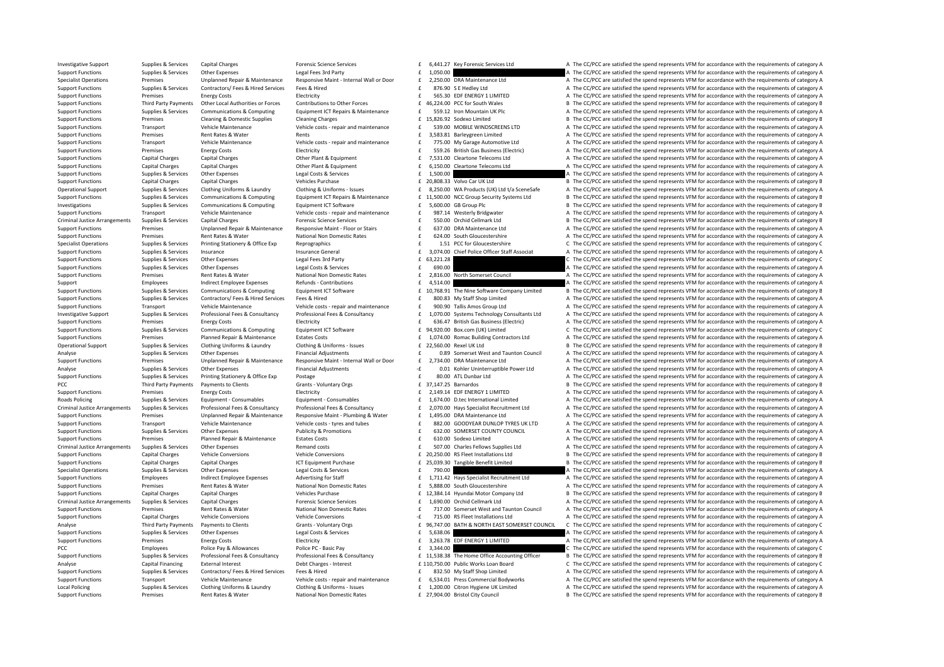| £      |                     | 6,441.27 Key Forensic Services Ltd                      |
|--------|---------------------|---------------------------------------------------------|
| £      | 1,050.00            |                                                         |
| £      |                     | 2,250.00 DRA Maintenance Ltd                            |
| £<br>£ |                     | 876.90 S E Hedley Ltd<br>565.30 EDF ENERGY 1 LIMITED    |
| £      |                     | 46,224.00 PCC for South Wales                           |
| £      |                     | 559.12 Iron Mountain UK Plc                             |
| £      |                     | 15,826.92 Sodexo Limited                                |
| £      |                     | 539.00 MOBILE WINDSCREENS LTD                           |
| £      |                     | 3,583.81 Barleygreen Limited                            |
| £      |                     | 775.00 My Garage Automotive Ltd                         |
| £      |                     | 559.26 British Gas Business (Electric)                  |
| £      |                     | 7,531.00 Cleartone Telecoms Ltd                         |
| £      |                     | 6,150.00 Cleartone Telecoms Ltd                         |
| £      | 1,500.00            |                                                         |
|        |                     | £ 20,808.33 Volvo Car UK Ltd                            |
| £      |                     | 8,250.00 WA Products (UK) Ltd t/a SceneSafe             |
| £      |                     | 11,500.00 NCC Group Security Systems Ltd                |
| £      |                     | 5,600.00 GB Group Plc                                   |
| f      |                     | 987.14 Westerly Bridgwater                              |
| £      |                     | 550.00 Orchid Cellmark Ltd                              |
| £      |                     | 637.00 DRA Maintenance Ltd                              |
| £      |                     | 624.00 South Gloucestershire                            |
| £      |                     | 1.51 PCC for Gloucestershire                            |
| £      |                     | 3,074.00 Chief Police Officer Staff Associat            |
| £<br>£ | 63,221.28           |                                                         |
| £      | 690.00<br>2,816.00  |                                                         |
| £      |                     | North Somerset Council                                  |
| £      | 4,514.00            | 10,768.91 The Nine Software Company Limited             |
| £      |                     | 800.83 My Staff Shop Limited                            |
| £      |                     | 900.90 Tallis Amos Group Ltd                            |
| £      |                     | 1,070.00 Systems Technology Consultants Ltd             |
| £      |                     | 636.47 British Gas Business (Electric)                  |
| £      |                     | 94,920.00 Box.com (UK) Limited                          |
| £      |                     | 1,074.00 Romac Building Contractors Ltd                 |
| £      |                     | 22,560.00 Rexel UK Ltd                                  |
| £      |                     | 0.89 Somerset West and Taunton Council                  |
| £      |                     | 2,734.00 DRA Maintenance Ltd                            |
| -£     |                     | 0.01 Kohler Uninterruptible Power Ltd                   |
| £      |                     | 80.00 ATL Dunbar Ltd                                    |
| £      | 37,147.25 Barnardos |                                                         |
| £      |                     | 2,149.14 EDF ENERGY 1 LIMITED                           |
| £      |                     | 1,674.00 D.tec International Limited                    |
| £      |                     | 2,070.00 Hays Specialist Recruitment Ltd                |
| £      |                     | 1,495.00 DRA Maintenance Ltd                            |
| £      |                     | 882.00 GOODYEAR DUNLOP TYRES UK LTD                     |
| £<br>£ |                     | 632.00 SOMERSET COUNTY COUNCIL<br>610.00 Sodexo Limited |
| £      |                     | 507.00 Charles Fellows Supplies Ltd                     |
| £      |                     | 20,250.00 RS Fleet Installations Ltd                    |
| £      | 25,039.30           | Tangible Benefit Limited                                |
| £      | 790.00              |                                                         |
| £      |                     | 1,711.42 Hays Specialist Recruitment Ltd                |
| £      |                     | 5,888.00 South Gloucestershire                          |
| £      |                     | 12,384.14 Hyundai Motor Company Ltd                     |
| £      |                     | 1,690.00 Orchid Cellmark Ltd                            |
| £      |                     | 717.00 Somerset West and Taunton Council                |
| -£     |                     | 715.00 RS Fleet Installations Ltd                       |
|        |                     | £ 96,747.00 BATH & NORTH EAST SOMERSET COUNCIL          |
| £      | 5,638.06            |                                                         |
| £      |                     | 3,263.78 EDF ENERGY 1 LIMITED                           |
| £      | 3,344.00            |                                                         |
| £      |                     | 11,538.38 The Home Office Accounting Officer            |
|        |                     | £ 110,750.00 Public Works Loan Board                    |
| £      |                     | 832.50 My Staff Shop Limited                            |
| £      |                     | 6,534.01 Press Commercial Bodyworks                     |
| £      |                     | 1,200.00 Citron Hygiene UK Limited                      |
| £      |                     | 27,904.00 Bristol City Council                          |

Investigative Support Support Support Supportes Capital Charges Capital Charges Forensic Science Services For E 6,441.27 Key Forensic Services Ltd A The CC/PCC are satisfied the spend represents VFM for accordance with the Support Functions Supplies & Services Other Expenses Legal Fees 3rd Party and the support of the CC/PCC are satisfied the spend represents VFM for accordance with the requirements of category A Specialist Operations Premises Unplanned Repair & Maintenance Responsive Maint - Internal Wall or Door E 2,250.00 DRA Maintenance Ltd A The CC/PCC are satisfied the spend represents VFM for accordance with the requirements Support Functions Supplies & Services Contractors/ Fees & Hired Services Fees & Hired Services Fees & Hired Services Fees & Hired Services Fees & Hired Services Fees and Service Services Feeding and a The CC/PCC are satisf examples are energy Costs and the Electricity of the Support of the Support of the Support of the Support of the Support of the Support of the Support of the Support of the Support of the Support of the Support of the Supp Support Functions Third Party Payments Other Local Authorities or Forces Contributions to Other Forces E 46,224.00 PCC for South Wales B The CC/PCC are satisfied the spend represents VFM for accordance with the requirement Support Functions Supplies & Services Communications & Computing Equipment ICT Repairs & Maintenance  $\pm$  559.12 Iron Mountain UK Plc A The CC/PCC are satisfied the spend represents VFM for accordance with the requirements Support Functions Premises Cleaning & Domestic Supplies Cleaning Charges 15,826.92 and the solution of the CC/PCC are satisfied the spend represents VFM for accordance with the requirements of category B Support Functions Transport Vehicle Maintenance Vehicle costs - repair and maintenance Temperature of the S39.00 MOBILE WINDSCREENS LTD A The CC/PCC are satisfied the spend represents VFM for accordance with the requiremen Support Functions Premises Rent Rates & Water Rents Rents Rents and Stategory A The CC/PCC are satisfied the spend represents VFM for accordance with the requirements of category A Support Functions Transport Vehicle Maintenance Vehicle costs-repair and maintenance F 775.00 My Garage Automotive Ltd A The CC/PCC are satisfied the spend represents VFM for accordance with the requirements of category A Support Functions Support Functions Premises Energy Costs Support Functional Electricity 559.26 British Gas Business (Electric) A The CC/PCC are satisfied the spend represents VFM for accordance with the requirements of ca Support Functions Capital Charges Capital Charges Other Plant & Equipment 1,7531.00 Cleartone Telecoms Ltd A The CC/PCC are satisfied the spend represents VFM for accordance with the requirements of category A Support Functions Capital Charges Capital Charges Other Plant & Equipment 6,150.00 Cleartone Telecoms Ltd A The CC/PCC are satisfied the spend represents VFM for accordance with the requirements of category A Support Functions Supplies & Services Other Expenses Legal Costs & Services Legal Costs & Services 1,500.00 **E 1,500.00** A The CC/PCC are satisfied the spend represents VFM for accordance with the requirements of category Support Functions Capital Charges Capital Charges Vehicles Purchase 20,808.33 Volvo Car UK Ltd B The CC/PCC are satisfied the spend represents VFM for accordance with the requirements of category B Operational Support Supplies & Services Clothing Uniforms & Laundry Clothing & Uniforms - Issues E 8.250.00 WA Products (UK) Ltd t/a SceneSafe A The CC/PCC are satisfied the spend represents VFM for accordance with the req Supplies & Services Communications & Computing Foujoment ICT Repairs & Maintenance f 11.500.00 NCC Group Security Systems Itd B The CC/PCC are satisfied the spend represents VEM for accordance with the requirements of cate Investigations Supplies & Services Communications & Computing Equipment ICT Software  $E = 5.600.00$  GB Group Plc B The CC/PCC are satisfied the spend represents VFM for accordance with the requirements of category B Support Functions Transport Vehicle Maintenance Vehicle Maintenance Vehicle costs - repair and maintenance Vehicle costs - repair and maintenance and the serves of the COPCC are satisfied the spend represents VFM for accor Capital Charges<br>
For the COPCC are satisfied the spend represents VFM for accordance with the requirements of category B<br>
1999 Line Line of the COPCC are satisfied the spend represents VFM for accordance with the requireme Support Functions Premises Unplanned Repair & Maintenance Responsive Maint - Floor or Stairs for Stairs Face of the CC/PCC are satisfied the spend represents VFM for accordance with the requirements of category A Support Functions Premises Rent Rates & Water National Non Domestic Rates 624.00 South Gloucestershire A The CC/PCC are satisfied the spend represents VFM for accordance with the requirements of category A Supplies & Services Printing Stationery & Office Exp Reprographics and Reprographics and the stationery of the CC/PCC are satisfied the spend represents VFM for accordance with the requirements of category C neuron message Insurance Chief Police Officer Staff Associat A The CC/PCC are satisfied the spend represents VFM for accordance with the requirements of category A Support Functions Supplies & Services Other Expenses Legal Fees 3rd Party 63,221.2 **Expenses Contains and Reservice Contains and Fees and Fees and Fees and Fees and Fees and Fees and Fees and Fees and Fees and Fees and Fee** Support Functions Supplies & Services Other Expenses Legal Costs & Services **E** 690.00 **A The CC/PCC are satisfied the spend represents VFM for accordance with the requirements of category A** Support Functions Premises Rent Rates & Water National Non Domestic Rates 2,816.00 North Somerset Council A The CC/PCC are satisfied the spend represents VFM for accordance with the requirements of category A The CC/PCC ar Support Employees and indirect Employee Expenses Refunds Contributions and the A The CC/PCC are satisfied the spend represents VFM for accordance with the requirements of category A Support Functions Supplies & Services Communications & Computing Equipment ICT Software and E 10,768.91 The Nine Software Company Limited B The CC/PCC are satisfied the spend represents VFM for accordance with the requirem Supplies & Services Contractors/ Fees & Hired Services Fees & Hired Services Fees & Hired Fees & Hired Fees & Hired Fees & Hired Fees & Hired The CC/PCC are satisfied the spend represents VFM for accordance with the requir Transport Vehicle Maintenance Vehicle costs-repair and maintenance and the state of the COPCC are satisfied the spend represents VFM for accordance with the requirements of category A The COPCC are satisfied the spend repr A The CC/PCC are satisfied the spend represents VFM for accordance with the requirements of category A Support Functions Premises Premises Energy Costs Electricity Electricity Electricity Electricity Electricity E<br>Support Functions Support Functions A Compunications & Computing For Electricity For a sected on the result imi Support Functions Supplies & Services Communications & Computing Foujioment ICT Software F 94.920.00 Box.com (IIK) limited C. The CC/PCC are satisfied the spend represents VEM for accordance with the requirements of catego Support Functions Premises Planned Repair & Maintenance Estates Costs 1,074.00 Romac Building Contractors Ltd A The CC/PCC are satisfied the spend represents VFM for accordance with the requirements of category B. The CC/P Operational Support Support Supporters & Services Clothing Uniforms & Laundry Clothing & Uniforms - Issues E 22,560.00 Rexel UK Ltd B The CC/PCC are satisfied the spend represents VFM for accordance with the requirements o Analyse Supplies Services Other Expenses Financial Adjustments Fanancial Adjustments Council a The CC/PCC are satisfied the spend represents VFM for accordance with the requirements of category A The CL/PCC are satisfied t Support Functions Premises Unplanned Renair & Maintenance Responsive Maint - Internal Wall or Door f 2.734.00 DRA Maintenance Itd A The CC/PCC are satisfied the spend represents VEM for accordance with the requirements of Analyse Supplies & Services Other Expenses Financial Adjustments 6. <sup>2</sup> 0.01 Kohler Uninterruptible Power Ltd A The CC/PCC are satisfied the spend represents VFM for accordance with the requirements of category A Support Functions Supplies & Services Printing Stationery & Office Exp Postage Postage 80.00 E 80.00 ATL Dunbar Ltd A The CC/PCC are satisfied the spend represents VFM for accordance with the requirements of category B<br>PCC PCC Third Party Payments Payments of Clients Grants - Voluntary Orgs and ST.147.25 Barnardos B The CC/PCC are satisfied the spend represents VFM for accordance with the requirements of category B The Crient Functions and Support Functions Premises Energy Costs Functions Electricity 2,149.14 FDF ENERGY 1 LIMITED A The CC/PCC are satisfied the spend represents VFM for accordance with the requirements of category A Roads Policing Supplies & Services Equipment - Consumables Equipment - Consumables Equipment - Consumables Equipment - Consumables Equipment - Consumables Equipment - Consumables Equipment - Consumables Equipment - Consuma Criminal Justice Arrangements Supplies & Services Professional Fees & Consultancy Professional Fees & Consultancy Professional Fees & Consultancy Professional Fees & Consultancy Professional Fees & Consultancy Arrange Capa Premises Unplanned Repair & Maintenance Responsive Maint - Plumbing & Water E 1,495.00 DRA Maintenance Ltd A The CC/PCC are satisfied the spend represents VFM for accordance with the requirements of category A Support Functions Transport Vehicle Maintenance Vehicle costs - tyres and tubes E 882.00 GOODYEAR DUNLOP TYRES UK LTD A The CC/PCC are satisfied the spend represents VFM for accordance with the requirements of category A Support Functions Supplies & Services Other Expenses Publicity & Promotions Publicity & Promotions 632.00 SOMERSET COUNTY COUNCIL A The CC/PCC are satisfied the spend represents VFM for accordance with the requirements of Support Functions Premises Planned Repair & Maintenance Estates Costs 610.0 Codexo Limited A The CC/PC are satisfied the spend represents VFM for accordance with the requirements of category A Criminal Justice Arrangements Supplies & Services Other Expenses Remand costs Remand costs and the substantion of the CC/PCC are satisfied the spend represents VFM for accordance with the requirements of category A Support Functions Capital Charges Vehicle Conversions Vehicle Conversions Vehicle Conversions Vehicle Conversions Vehicle Conversions Conversions of the COSCOLOGY PROGRES ARE DESCRETE REPRESENT OF THE CONCRETE REPRESENTATI Support Functions Capital Charges Capital Charges 2002 1CT Equipment Purchase 25,039.30 Tangible Benefit Limited B The CC/PCC are satisfied the spend represents VFM for accordance with the requirements of category B The Cr Supplies & Services Other Expenses 2002 Costs & Services  $\epsilon$  790.00  $\epsilon$  790.00  $\epsilon$  The CC/PCC are satisfied the spend represents VFM for accordance with the requirements of category A Support Functions Employees Indirect Employee Expenses Advertising for Staff and Entitled Employee Expenses Advertising for Staff and Entitled Employee Expenses Advertising for Staff and Entitled Employee Stategory A Support Functions Premises Rent Rates & Water National Non Domestic Rates For Sababa and Support Functions A The CC/PCC are satisfied the spend represents VFM for accordance with the requirements of category A Vehicles Pur Support Functions Capital Charges Capital Charges Capital Charges Vehicles Purchase 12,384.14 Hyundai Motor Company Ltd B The CC/PCC are satisfied the spend represents VFM for accordance with the requirements of category B Criminal lustice Arrangements Sunniges Senvices Capital Charges Control Charges Enceptive Criminal Lustice Arrangements Control Capital Charges Capital Charges Capital Charges Capital Charges Capital Charges Capital Charge Support Functions Premises Rent Rates & Water National Non Domestic Rates F 717.00 Somerset West and Taunton Council A The CC/PCC are satisfied the spend represents VFM for accordance with the requirements of category A Support Functions Capital Charges Vehicle Conversions Vehicle Conversions Vehicle Conversions Vehicle Conversions Vehicle Conversions Vehicle Conversions Vehicle Conversions Vehicle Conversions Vehicle Conversions VEM in t Third Party Payments Dayments to Clients County Crants - Voluntary Orgs 6 196.747.00 BATH & NORTH FAST SOMERSET COUNCIL C. The CC/PCC are satisfied the spend represents VEM for accordance with the requirements of category Support Functions Supplies & Services Other Expenses Legal Costs & Services E 5,638.06 5,638.06 A The CC/PCC are satisfied the spend represents VFM for accordance with the requirements of category A Support Functions Premises Energy Costs EDECTRICITY Electricity S,263.78 EDF ENERGY 1 LIMITED A The CC/PCC are satisfied the spend represents VFM for accordance with the requirements of category A PCC Employees Police Pay & Allowances Police PC - Basic Pay 3,344.00 **Employees** Police Pay and Device Pay 3,344.0 **Employees** Police Pay & Allowances Police PC - Basic Pay 3,944.00 **Employees** C The CC/PCC are satisfied t Suppliers & Services Professional Fees & Consultancy Professional Fees & Consultancy Professional Fees & Consultancy Professional Fees & Consultancy F 11.538.38 The Home Office B The CC/PCC are satisfied the spend represen Analyse Capital Financing External Interest Debt Charges - Interest Debt Charges 110,750.00 Public Works Loan Board C The CC/PCC are satisfied the spend represents VFM for accordance with the requirements of category A Sup Support Functions Supplies & Services Contractors/Fees & Hired Services Fees & Hired Fees and maintenance of a service of a service of a service of a service of a service of a service of a service of a service of a service Transport Vehicle Maintenance Vehicle costs - repair and maintenance f 6,534.01 Press Commercial Bodyworks A The CC/PCC are satisfied the spend represents VFM for accordance with the requirements of category A Local Policing Contains the CC/PCC are satisfied the spend represents VFM for accordance with the requirements of category A Colthing Uniforms & Laundry Clothing & Uniforms - Issues E 1,200.00 Citron Hygiene UK Limited A T Support Functions Premises Rent Rates & Water National Non Domestic Rates **27,904.00 Bristol City Council** B The CC/PCC are satisfied the spend represents VFM for accordance with the requirements of category B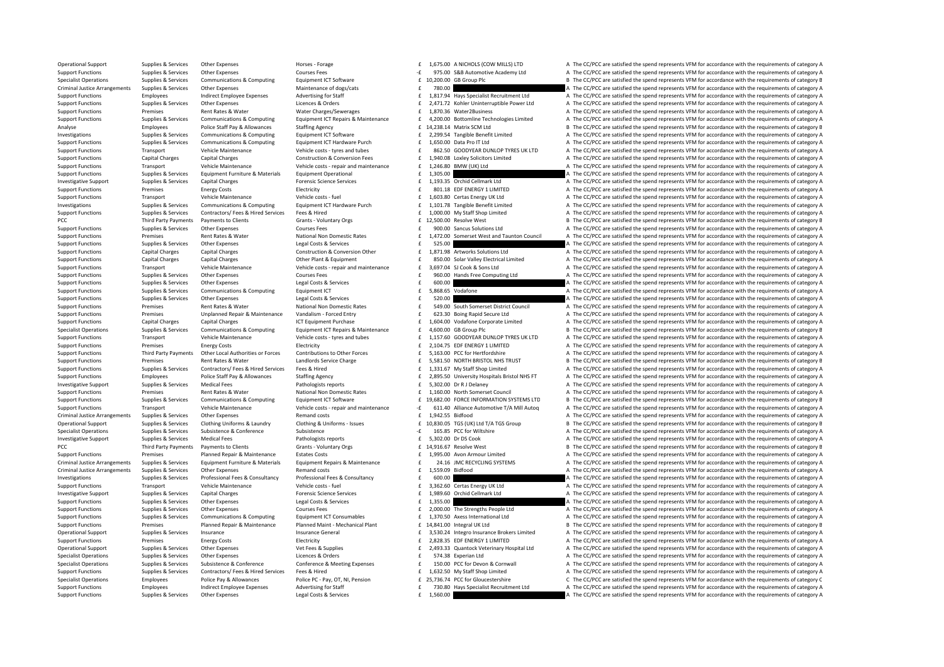Operational Support Supplies & Services Other Expenses Horses Forage Horses Forage 1,675.00 A NICHOLS (COW MILLS) LTD A The CC/PCC are satisfied the spend represents VFM for accordance with the requirements of category A Support Functions Supplies & Services Other Expenses Courses Fees Courses Fees 3 and the spend represents VFM for accordance with the requirements of category A Specialist Operations Supplies & Services Communications & Computing Equipment ICT Software E 10,200.00 GB Group Plc B The CC/PCC are satisfied the spend represents VFM for accordance with the requirements of category B Me Criminal Justice Arrangements Supplies & Services Other Expenses Maintenance of dogs/cats Maintenance of dogs/cats and the rate of the Supplies are according to the CC/PCC are satisfied the spend represents VFM for accorda Contract on the contract of the contract of the contract of the contract of the contract of the contract of the contract of the contract of the contract of the contract of the contract of the contract of the contract of th Support Functions Supplies & Services Other Expenses Licences & Orders Licences Corders Licences Corders Lating and Expendition of the CC/PCC are satisfied the spend represents VFM for accordance with the requirements of c Support Functions Premises Rent Rates & Water Water Charges/Sewerages 1,870.36 Water2Business A The CC/PCC are satisfied the spend represents VFM for accordance with the requirements of category A Supplies & Services Communications & Computing Foujoment ICT Repairs & Maintenance F 4.200.00 Bottomline Technologies Limited A The CC/PCC are satisfied the spend represents VEM for accordance with the requirements of cate Analyse Employees Police Staff Pay & Allowances Staffing Agency 14, 238.14 Matrix SCM Ltd B The CC/PCC are satisfied the spend represents VFM for accordance with the requirements of category B Investigations Supplies & Services Communications & Computing Equipment ICT Software £ Tangible Benefit Limited A The CC/PCC are satisfied the sp 2,299.54 end represents VFM for accordance with the requirements of category A Support Functions Supplies & Services Communications & Computing Equipment ICT Hardware Purch and function of the COPC are satisfied the spend represents VFM for accordance with the requirements of category A The COPC are Sunnort Eunctions Transport Vehicle Maintenance Vehicle Costs-tyres and tubes a Contrele Case of SASSO GOODYEAR DUNIOP TYRES UNITO A The CC/PCC are satisfied the spend represents VEM for accordance with the requirements of Support Functions Capital Charges Capital Charges Capital Charges Capital Charges Capital Charges Capital Charges Capital Charges Capital Charges Capital Charges Capital Charges Capital Charges Capital Charges Capital Char Support Functions Transport Vehicle Maintenance Vehicle costs - repair and maintenance 1,246.80 BMW (UK) Ltd A The CC/PCC are satisfied the spend represents VFM for accordance with the requirements of category A Support Functions Supplies & Services Equipment Furniture & Materials Equipment Operational 1,305.00 E 1,305.00 A The CC/PCC are satisfied the spend represents VFM for accordance with the requirements of category A The CC/ Investigative Support Supplies & Services Capital Charges Forensic Science Services Forensic Science Services Forensic Science Services Forensic Science Services Forensic Science Services Forensic Science Services Forensic Support Functions Premises Energy Costs Electricity Electricity and Electricity and Electricity and EDF ENERGY 1 LIMITED A The CC/PCC are satisfied the spend represents VFM for accordance with the requirements of category Support Functions Transport Vehicle Maintenance Vehicle costs – fuel exists and the costs and the CC/PCC are satisfied the spend represents VEM for accordance with the requirements of category A Investigations Supplies & Services Communications & Computing Equipment ICT Hardware Purch 1.101.78 Tangible Benefit Limited A The CC/PCC are satisfied the spend represents VFM for accordance with the requirements of categ Support Functions Supplies & Services Contractors/Fees & Hired Services Fees & Hired Fees and Feed of the COPC are satisfied the spend represents VFM for accordance with the requirements of category A<br>PCC Third Party Payme PCC Third Party Payments Payments to Clients Grants ‐ Voluntary Orgs 12,500.0 £ Resolve West <sup>B</sup> The CC/PCC are satisfied the spend represents 0 VFM for accordance with the requirements of category B Support Functions Supplies & Services Other Expenses Courses Fees Services Fees and the COURC are satisfied the spend represents VFM for accordance with the requirements of category A Support Functions Premises Rent Rates & Water National Non Domestic Rates Function and Taunton Council A The CC/PCC are satisfied the spend represents VFM for accordance with the requirements of category A Support Functions Supplies & Services Other Expenses Legal Costs & Services Legal Costs & Services Support Expenses 525.00 **Expenditions Controlled the Services Category A** The CC/PCC are satisfied the spend represents VFM 1,871.98 Artworks Solutions Ltd **Arthur COVEC are satisfied the spend represents VFM** for accordance with the requirements of category A Support Functions Canital Charges Canital Charges Contral Charges Other Plant & Foundance Plant & Foundance Canital Charges Canital Charges Other Plant & Foundance Plant & Foundance Canital Charges Canital Charges Contral Transport Vehicle Maintenance Vehicle costs repair and maintenance F 3.697.04 SLCook & Sons Ltd A The CC/PCC are satisfied the spend represents VFM for accordance with the requirements of category A Support Functions Supplies & Services Other Expenses Courses Fees Courses Fees and the Support Functions A The CC/PCC are satisfied the spend represents VFM for accordance with the requirements of category A The CC/PCC are E 600.00 **Expenses Legal Constant Constant Constant Constant Constant Constant Constant Constant Constant Constant Constant Constant Constant Constant Constant Constant Constant Constant Constant Constant Constant Constant** Support Functions Supplies & Services Communications & Computing Equipment ICT  $\pm$  5,868.65 Vodafone A The CC/PCC are satisfied the spend represents VFM for accordance with the requirements of category A Support Functions Supplies & Services Other Expenses Legal Costs & Services Legal Costs & Services Support Costs are a services for the CC/PCC are satisfied the spend represents VFM for accordance with the requirements of Support Eurotions Premises Rent Rates & Water National Non Domestic Rates and the Support Council and Rent Rates Premises Rent Rates of National Non Domestic Rates of the Support Barbara and the CC/PCC are satisfied the sp 623.30 Boing Rapid Secure Ltd A The CC/PCC are satisfied the spend represents VFM for accordance with the requirements of category A Support Functions Capital Charges Capital Charges Capital Charges Capital Charges Capital Charges Capital Charges ICT Equipment Purchase 1,604.00 Vodafone Corporate Limited A The CC/PCC are satisfied the spend represents V Specialist Operations Supplies & Services Communications & Computing Equipment ICT Repairs & Maintenance 4,600.0 £ GB Group Plc <sup>B</sup> The CC/PCC are satisfied the spend represen 0 ts VFM for accordance with the requirements of category B Vehicle Maintenance Vehicle costs - tyres and tubes<br>
Vehicle costs - tyres and tubes<br>
Support FREGY 11MITED A The CC/PCC are satisfied the spend represents VFM for accordance with the requirements of category A<br>
Framework Support Functions Premises Energy Costs Electricity Electricity **Exercises** Energy Costs Electricity **Exercises** Energy Costs Electricity **Exercises** Energy Costs Electricity **Electricity Electricity Electricity Elec** Support Functions Third Party Payments Other Local Authorities or Forces Contributions to Other Forces 5,163.00 PCC for Herifordshire A The CC/PCC are satisfied the spend represents VFM for accordance with the requirements Support Functions Premises Rent Rates & Water Landlords Service Charge 5,581.50 NORTH BRISTOL NHS TRUST B The CC/PCC are satisfied the spend represents VFM for accordance with the requirements of category B Support Functions Supplies & Services Contractors/ Fees & Hired Services Fees & Hired Fees & Hired Fees & Hired Fees & Hired Fees & Hired Fees & Hired Fees A Hired Fees and Support Fees & Hired Fees and Support Fees & Hire Support Functions Employees Police Staff Pay & Allowances Staffing Agency Support E 2,895.50 University Hospitals Bristol NHS FT A The CC/PCC are satisfied the spend represents VFM for accordance with the requirements of c Investigative Support Support Support Support Supplies & Services A The CC/PCC are satisfied the spend represents VFM for accordance with the requirements of category A The CC/PCC are satisfied the spend represents VFM for Support Functions Premises Rent Rates & Water National Non Domestic Rates final Non Domestic Rates of the CC/PCC are satisfied the spend represents VFM for accordance with the requirements of category A Support Functions Supplies & Services Communications & Computing Equipment ICT Software E 19,682.00 FORCE INFORMATION SYSTEMS LTD B The CC/PCC are satisfied the spend represents VFM for accordance with the requirements of Transport Vehicle Maintenance Vehicle Costs-repair and maintenance - 1997-05 611.40 Alliance 4thomotive T/A Mill Autoq A The CC/PCC are satisfied the spend represents VFM for accordance with the requirements of category A Remand costs **Expenses Arrangements of category A** The CC/PCC are satisfied the spend represents VFM for accordance with the requirements of category A Operational Support Supplies & Services Clothing Uniforms & Laundry Clothing & Uniforms - Issues E 10,830.05 TGS (UK) Ltd T/A TGS Group B The CC/PCC are satisfied the spend represents VFM for accordance with the requiremen Specialist Operations Supplies & Services Subsistence Subsistence Subsistence Subsistence Subsistence Subsistence Subsistence a Subsistence Subsistence Subsistence Subsistence Subsistence a Subsistence of the San and the C Investigative Support Supplies & Services Medical Fees Pathologists reports Fathologists reports Face Cook E 5,302.00 Dr DS Cook A The CC/PCC are satisfied the spend represents VFM for accordance with th PCC Third Party Payments Payments to Clients Grants - Voluntary Orgs E 14,916.67 Resolve West B The CC/PCC are satisfied the spend represents VFM for accordance with the requirements of category B Support Functions Premises Planned Repair & Maintenance Estates Costs 1,995.00 Avon Armour Limited A The CC/PCC are satisfied the spend represents VFM for accordance with the requirements of category A Criminal Justice Arrangements Supplies & Services Equipment Furniture & Materials Equipment Repairs & Maintenance and the network of the CONCOMENTY ARRANGER Criminal Justice Arrangements of category A The CONCOMENTY ARRANG Criminal Justice Arrangements Supplies & Services Other Expenses Remand costs Remand costs 1,559.09 Bidfood A The CC/PCC are satisfied the spend represents VFM for accordance with the requirements of category A Investigations Supplies & Services Professional Fees & Consultancy Professional Fees & Consultancy Professional Fees & Consultancy Professional Fees & Consultancy **f** 600.00 **and the CC/PCC** are satisfied the spend represe Support Functions Transport Vehicle Maintenance Vehicle costs – fuel and the Vehicle costs fuel and Vehicle costs fuel a The CC/PCC are satisfied the spend represents VFM for accordance with the requirements of category A Examples to the Eventual Charges and the CONSTANT CONSTANT CONSTANT A SUPPORT SUPPORT SUPPORT SUPPORT SUPPORT SUPPORT SUPPORT SUPPORT SUPPORT SUPPORT SUPPORT SUPPORT SUPPORT SUPPORT SUPPORT SUPPORT SUPPORT SUPPORT SUPPORT Support Functions Supplies & Services Other Expenses Legal Costs & Services Legal Costs & Services 1,355.00  $\pm$  1,355.00  $\pm$  1,355.00  $\pm$  A The CC/PCC are satisfied the spend represents VFM for accordance with the requi Support Functions Supplies & Services Other Expenses Courses Fees 2000.00 The Strengths People Ltd A The CC/PCC are satisfied the spend represents VFM for accordance with the requirements of category A The Strengths People Support Functions Supplies & Services Communications & Computing Equipment ICT Consumables and face of 1,370.50 Axess International Ltd a The CC/PCC are satisfied the spend represents VFM for accordance with the requiremen Support Functions Premises Planned Repair & Maintenance Planned Maint - Mechanical Plant 14,841.00 Integral UK Itd B The CC/PCC are satisfied the spend represents VFM for accordance with the requirements of category B Operational Support Supplies & Services Insurance Movements of category A Insurance General S,530.24 Integro Insurance Brokers Limited A The CC/PCC are satisfied the spend represents VFM for accordance with the requirement Support Functions Premises Energy Costs Electricity Electricity and Electricity Energy Costs EDF ENERGY 1 LIMITED A The CC/PCC are satisfied the spend represents VFM for accordance with the requirements of category A Operational Support Supplies & Services Other Expenses Wet Fees & Supplies Vet Free & Supplies Care of the CONCE<br>Support Support of the Control of States of the Control of States and the CONCE of States of the CONCE of Sta Specialist Operations Supplies & Services Other Expenses Licences & Orders 574.38 Experian Ltd A The CC/PCC are satisfied the spend represents VFM for accordance with the requirements of category A Supplies & Supplies & Services Subsistence & Conference Conference Conference & Meeting Expenses 
Support Functions Support Functions Supplies & Services Contractors/ Fees & Hired Support Functions Support Functions (Suppo 1,632.50 My Staff Shop Limited A The CC/PCC are satisfied the spend represents VFM for accordance with the requirements of category A<br>C The CC/PCC are satisfied the spend represents VFM for accordance with the requirements Specialist Operations Fundovers Police Pay & Allowances Police PC - Pay OT. NJ. Pension F 25.736.74 PCC for Gloucestershire C. The CC/PCC are satisfied the spend represents VEM for accordance with the requirements of categ Support Functions Employees Indirect Employee Expenses Advertising for Staff and Engines and Engines Adventising for Staff and Fig. 730.80 Hays Specialist Recruitment Ltd A The CC/PCC are satisfied the spend represents VFM Support Functions Supplies & Services Other Expenses Legal Costs & Services Legal Costs & Services 1,560.00 **E 1,560.00** A The CC/PCC are satisfied the spend represents VFM for accordance with the requirements of category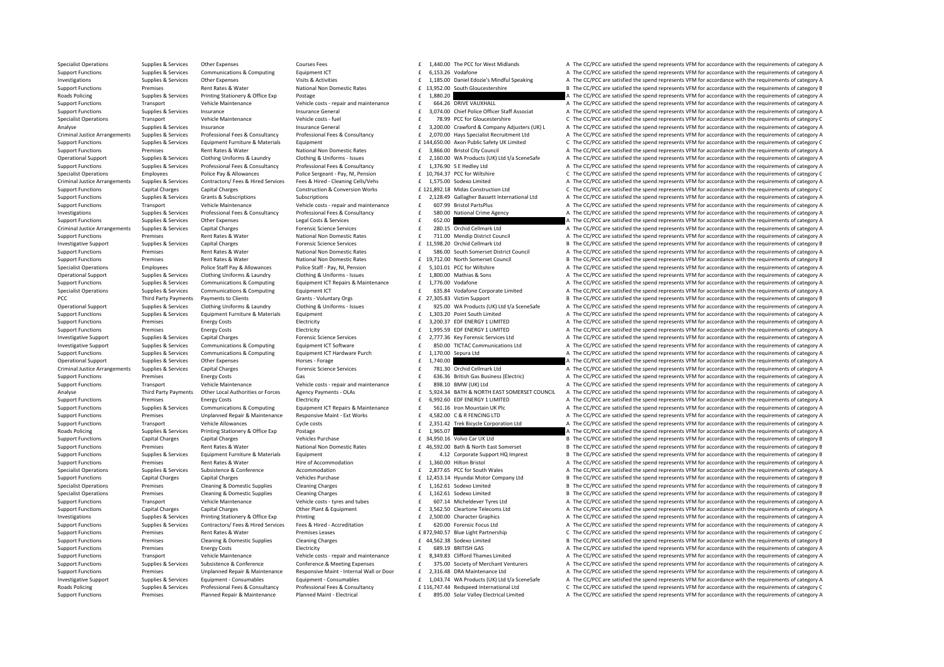Specialist Operations Supplies & Services Other Expenses Courses Fees 1,440.00 The PCC for West Midlands A The CC/PCC are satisfied the spend represents VFM for accordance with the requirements of category A Support Functions Supplies & Services Communications & Computing Equipment ICT  $\epsilon$  6.153.26 Vodafone A The CC/PCC are satisfied the spend represents VFM for accordance with the requirements of category A Investigations Supplies & Services Other Expenses Visits & Activities Visits & Activities Visits & Activities 1,185.00 Daniel Edozie's Mindful Speaking A The CC/PCC are satisfied the spend represents VFM for accordance wit Support Functions Premises Rent Rates & Water National Non Domestic Rates and the 13,952.00 South Gloucestershire B The CC/PCC are satisfied the spend represents VFM for accordance with the requirements of category B<br>B at Postage experiences and Supplies Control Supplies A The CC/PCC are satisfied the spend represents VFM for accordance with the requirements of category A Support Functions Transport Vehicle Maintenance Vehicle costs - repair and maintenance 664.26 DRIVE VAUXHALL A The CC/PCC are satisfied the spend represents VFM for accordance with the requirements of category A Support Fu Support Functions Supplies & Services Insurance Service Insurance General and the state of a state of the Support Functions and the secure of the spend represents VFM for accordance with the requirements of category A Specialist Operations Transport Vehicle Maintenance Vehicle costs – fuel and the COST of Gloucestershire C The CC/PCC are satisfied the spend represents VFM for accordance with the requirements of category C Analyse Supplies & Services Insurance Supplies Insurance General and the service of the service of the service of the spend represents of category A The CC/PCC are satisfied the spend represents VFM for accordance with the Criminal Justice Arrangements Supplies & Services Professional Fees & Consultancy Professional Fees & Consultancy Professional Fees & Consultancy Professional Fees & Consultancy Professional Fees & Consultancy Professional Supplies Supplies & Services Equipment Euriture & Materials Equipment Enter Extending E144,650.00 Axon Public Safety UK Limited C The CC/PCC are satisfied the spend represents VEM for accordance with the requirements of ca Support Functions Premises Rent Rates & Water National Non Domestic Rates **3,866.0 Bristol City Council A The CC/PCC** are satisfied the spend represents VFM for accordance with the requirements of category A Operational Support Supplies & Services Clothing Uniforms & Laundry Clothing & Uniforms - Issues E 2,160.00 WA Products (UK) Ltd t/a SceneSafe A The CC/PCC are satisfied the spend represents VFM for accordance with the req Support Functions Supplies & Services Professional Fees & Consultancy Professional Fees & Consultancy Professional Fees & Consultancy Professional Fees & Consultancy Professional Fees & Consultancy F 1,376.90 S E Hedley Lt Specialist Operations Employees Police Pay & Allowances Police Sergeant - Pay, NI, Pension E 10,764.37 PCC for Wiltshire CThe CC/PCC are satisfied the spend represents VFM for accordance with the requirements of category C Criminal Justice Arrangements Supplies & Services Contractors/ Fees & Hired Services Fees & Hired - Cleaning Cells/Vehs Fees & Hired - Cleaning Cells/Vehs Fees & 1,575.00 Sodexo Limited Arrangement Arrangements VFM for acc Support Functions Capital Charges Capital Charges Capital Charges Capital Charges Capital Charges Capital Charges Capital Charges Construction & Conversion Works E 121,892.18 Midas Construction Ltd C The CC/PCC are satisfi Supplies Supplies & Services Grants & Subscriptions Subscriptions Subscriptions Subscriptions Subscriptions Subscriptions Subscriptions (2,128.49 Gallagher Bassett International Ltd A The CC/PCC are satisfied the spend rep Support Functions Transport Vehicle Maintenance Vehicle costs - repair and maintenance Terminate and maintenance and the CC/PCC are satisfied the spend represents VFM for accordance with the requirements of category A Supplies & Services Professional Fees & Consultancy Professional Fees & Consultancy Professional Fees & Consultancy Professional Fees & Consultancy Consultancy F 580.00 National Crime Agency A The CC/PCC are satisfied the Support Functions Support Tunctions A Support of Correct A The CC/PCC are satisfied the spend represents VFM for accordance with the requirements of category A<br>A The CC/PCC are satisfied the spend represents VFM for accord Criminal Justice Arrangements Supplies & Services Capital Charges Forensic Science Services Forensic Science Services Forensic Science Services Forensic Science Services f 280.15 Orchid Cellmark Itd A The CC/PCC are satisf Support Functions Premises Rent Rates & Water National Non Domestic Rates F 711.00 Mendip District Council A The CC/PCC are satisfied the spend represents VFM for accordance with the requirements of category A Investigative Support Supplies & Services Capital Charges Category B The CC/PCC are satisfied the spend represents VFM for accordance with the requirements of category B The CC/PCC are satisfied the spend represents VFM fo E 586.00 South Somerset District Council 4 The CC/PCC are satisfied the spend represents VFM for accordance with the requirements of category A Support Functions Premises Rent Rates & Water National Non Domestic Rates fight of the Support Council B The CC/PCC are satisfied the spend represents VFM for accordance with the requirements of category B Specialist Operations Employees Police Staff Pay & Allowances Police Staff - Pay, NL Pension E. 5.101.01 PCC for Wiltshire A. The CC/PCC are satisfied the spend represents VFM for accordance with the requirements of catego Operational Support Supplies & Services Clothing Uniforms & Laundry Clothing & Uniforms - Issues fall and the support of the CC/PCC are satisfied the spend represents VFM for accordance with the requirements of category A A The CC/PCC are satisfied the spend represents VFM for accordance with the requirements of category A Supplies & Services Communications & Computing Equipment ICT 635.84 Vodafone Corporate Limited A The CC/PCC are satisfied the spend represents VFM for accordance with the requirements of category A PCC Third Party Payments Payments to Clients Category B Grants - Voluntary Orgs 27,305.83 Victim Support B The CC/PCC are satisfied the spend represents VFM for accordance with the requirements of category B Operational Support Supplies & Services Clothing Uniforms & Laundry Clothing & Uniforms - Issues and the 925.00 WA Products (UK) Ltd Va SceneSafe A The CC/PCC are satisfied the spend represents VFM for accordance with the A The CC/PCC are satisfied the spend represents VFM for accordance with the requirements of category A Support Functions Premises Energy Costs Energy Costs Electricity Electricity and Electricity and Electricity and Electricity and Electricity and Electricity and Electricity and Electricity and the Support Energy A The CC/P Support Functions Premises Fuergy Costs Functions Electricity Functions and the COSTS ELECTRIC are satisfied the spend represents VFM for accordance with the requirements of category A Investigative Support Supplies & Services Capital Charges Capital Charges Forensic Science Services Feature Support Support Support Support Support Support Support Support Support Support Support Support Support Support Ca Investigative Support Support Support Support Supporters Communications & Computing Equipment ICT Software Equipment ICT Software and the SSO.00 TICTAC Communications Ltd A The CC/PCC are satisfied the spend represents VFM Supplies Supplies & Services Communications & Computing Equipment ICT Hardware Purch examples and the control of the CC/PCC are satisfied the spend represents VFM for accordance with the requirements of category A a contro Operational Support Supplies & Services Other Expenses Horses - Forage Horses - Forage 1,740.00 **Expenditional Control Control of A The CC/PCC** are satisfied the spend represents VFM for accordance with the requirements of Criminal Justice Arrangements Supplies & Services Capital Charges Forensic Science Services Forensic Science Services Forensic Science Services F 781.30 Orchid Cellmark Ltd A The CC/PCC are satisfied the spend represents V Support Functions Premises Energy Costs Gas Gas Gas Gas Gas 636.36 British Gas Business (Electric) A The CC/PCC are satisfied the spend represents VFM for accordance with the requirements of category A Vehicle Maintenance Transport Vehicle Maintenance Vehicle costs - repair and maintenance CHE SPA.10 BMW (UK) Ltd A The CC/PCC are satisfied the spend represents VFM for accordance with the requirements of category A The CC/PCC are satisfied t Third Party Payments Other Local Authorities or Forces Agency Payments - OLAS 6 1994.34 BATH & NORTH FAST SOMERSET COUNCIL A The CC/PCC are satisfied the spend represents VEM for accordance with the requirements of categor Support Functions Premises Energy Costs Electricity Electricity Energy Costs Electricity entergy A The CC/PCC are satisfied the spend represents VFM for accordance with the requirements of category A Support Functions Supplies & Services Communications & Computing Equipment ICT Repairs & Maintenance and the Set of the COME of ALLA CONCLONGED AT The CC/PCC are satisfied the spend represents VFM for accordance with the r Premises Unplanned Repair & Maintenance Responsive Maint - Ext Works F 4,582.00 C & R FENCING LTD A The CC/PCC are satisfied the spend represents VFM for accordance with the requirements of category A Support Functions Transport Vehicle Allowances Cycle costs 2,351.42 Trek Bicycle Corporation Ltd A The CC/PCC are satisfied the spend represents VFM for accordance with the requirements of category A Roads Policing Supplies & Services Printing Stationery & Office Exp Postage Printing Stationery & Office Exp Postage 1,965.07 **£** 1,965.07 **£ 1,965.07 A The CC/PCC are satisfied the spend represents VFM for accordance with** Support Functions Capital Charges Capital Charges Schicles Purchase 34,950.16 Volvo Car UK Ltd B The CC/PCC are satisfied the spend represents VEM for accordance with the requirements of category B Support Functions Premises Rent Rates & Water National Non Domestic Rates 46,592.00 Bath & North East Somerset B The CC/PCC are satisfied the spend represents VFM for accordance with the requirements of category B Support Functions Supplies & Services Equipment Furniture & Materials Equipment Equipment Equipment and the state of the CC/PCC are satisfied the spend represents VFM for accordance with the requirements of category B Support Functions Premises Rent Rates & Water Hire of Accommodation Hire of Accommodation 1,360.00 Hilton Bristol A The CC/PCC are satisfied the spend represents VFM for accordance with the requirements of category A The C Specialist Operations Supplies & Services Subsistence & Conference Accommodation 2,877.65 PCC for South Wales A The CC/PCC are satisfied the spend represents VFM for accordance with the requirements of category A Support Functions Capital Charges Capital Charges Vehicles Purchase 12,453.14 Hyundai Motor Company Ltd B The CC/PCC are satisfied the spend represents VFM for accordance with the requirements of category B Specialist Operations Premises Cleaning & Domestic Supplies Cleaning Charges Cleaning Charges 1,162.61 Sodexo Limited B The CC/PCC are satisfied the spend represents VFM for accordance with the requirements of category B T Specialist Operations Premises Cleaning & Domestic Supplies Cleaning Charges Cleaning Charges Cleaning Charges Cleaning Charges Cleaning Charges Cleaning Charges (2001) and the COC are satisfied the spend represents VFM fo Support Functions Transport Vehicle Maintenance Vehicle costs – tyres and tubes f 607.14 Micheldever Tyres Ltd A The CC/PCC are satisfied the spend represents VFM for accordance with the requirements of category A Support Functions Capital Charges Capital Charges Capital Charges Other Plant & Equipment 2,502.50 Cleartone Telecoms Ltd A The CC/PCC are satisfied the spend represents VFM for accordance with the requirements of category Investigations Supplies & Services Printing Stationery & Office Exp Printing Actreditation a research and the Supplies A The CC/PCC are satisfied the spend represents VFM for accordance with the requirements of category A Supplies & Services Contractors/Fees & Hired Services Fees & Hired - Accreditation Contractors/Fees & Hired Services Fees & Hired - Accreditation 620.00 Forensic Focus Itd A The CC/PCC are satisfied the spend represents VF Support Functions Premises Rent Rates & Water Premises Leases Premises Leases 872,940.57 Blue Light Partnership C The CC/PCC are satisfied the spend represents VFM for accordance with the requirements of category C Support Functions Premises Cleaning & Domestic Supplies Cleaning Charges Cleaning Charges 44,562.38 Sodexo Limited B The CC/PCC are satisfied the spend represents VFM for accordance with the requirements of category B The Support Functions Premises Energy Costs Electricity Electricity Electricity Energy Costs Electricity Electricity Electricity and the Support Electricity and the Support Electricity of the Support A The CC/PCC are satisfied Support Functions Transport Vehicle Maintenance Vehicle Costs repair and maintenance Case of 8,349,83 Clifford Thames Limited A The CC/PCC are satisfied the spend represents VEM for accordance with the requirements of cate Support Functions Supplies & Services Subsistence & Conference Conference Conference & Meeting Expenses and a mechant Venturers and The CC/PCC are satisfied the spend represents VFM for accordance with the requirements of A The CC/PCC are satisfied the spend represents VFM for accordance with the requirements of category A Investigative Supplies & Services Supplies Registered For Supplies Services Foundance Consumables Foundance Consumables Foundance Consumables of the CC/PCC are satisfied the spend represents VFM for accordance with the req Roads Policing Supplies & Services Professional Fees & Consultancy Professional Fees & Consultancy Professional Fees & Consultancy Professional Fees & Consultancy F 116,747.44 Redspeed International Ltd C The CC/PCC are sa Support Functions Premises Planned Repair & Maintenance Planned Maint - Electrical Electrical E 895.00 Solar Valley Electrical Limited A The CC/PCC are satisfied the spend represents VFM for accordance with the requirement